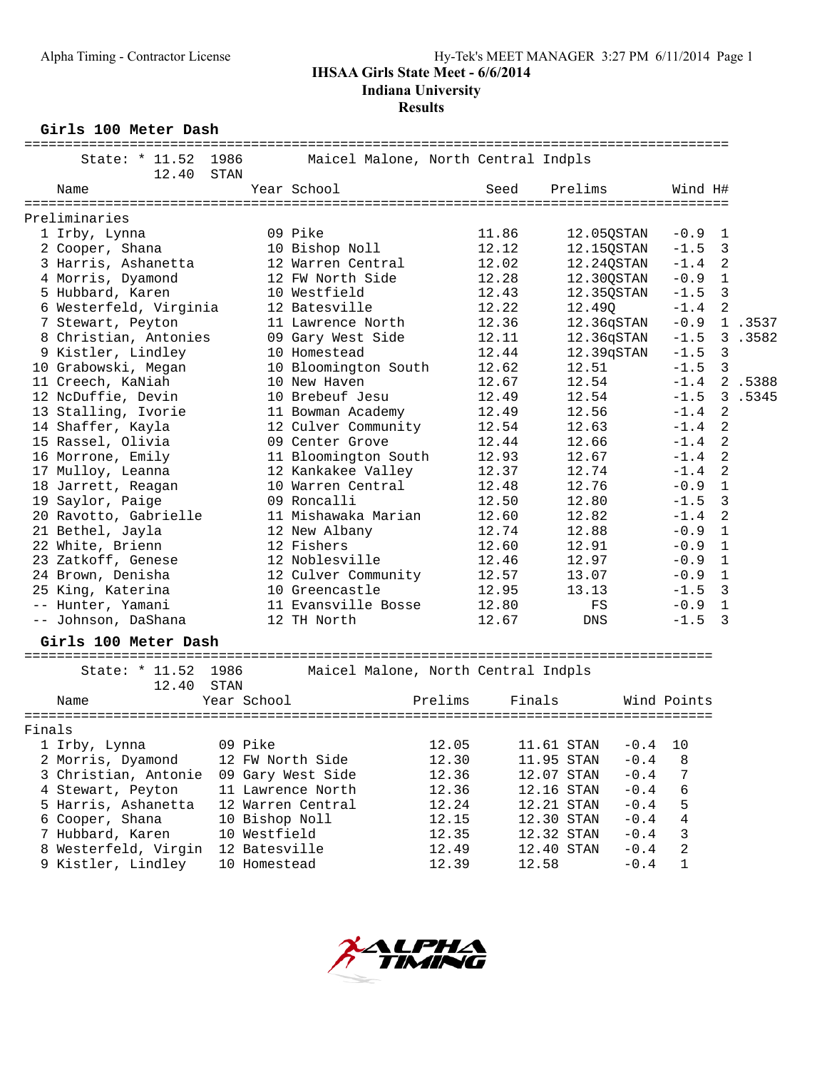## **IHSAA Girls State Meet - 6/6/2014**

**Indiana University**

## **Results**

**Girls 100 Meter Dash**

| State: * 11.52<br>1986<br>Maicel Malone, North Central Indpls              |             |                |         |
|----------------------------------------------------------------------------|-------------|----------------|---------|
| 12.40<br>STAN                                                              |             |                |         |
| Year School<br>Prelims<br>Name<br>Seed                                     | Wind H#     |                |         |
| Preliminaries                                                              |             |                |         |
| 1 Irby, Lynna<br>09 Pike<br>11.86<br>12.05QSTAN                            | $-0.9$      | $\mathbf{1}$   |         |
| 12.12<br>2 Cooper, Shana<br>10 Bishop Noll<br>12.15QSTAN                   | $-1.5$      | 3              |         |
| 3 Harris, Ashanetta<br>12 Warren Central<br>12.02<br>12.24QSTAN            | $-1.4$      | 2              |         |
| 4 Morris, Dyamond<br>12 FW North Side<br>12.28<br>12.30QSTAN               | $-0.9$      | $\mathbf{1}$   |         |
| 5 Hubbard, Karen<br>10 Westfield<br>12.43<br>12.35QSTAN                    | $-1.5$      | 3              |         |
| 6 Westerfeld, Virginia<br>12.22<br>12 Batesville<br>12.49Q                 | $-1.4$      | 2              |         |
| 7 Stewart, Peyton<br>12.36<br>12.36qSTAN<br>11 Lawrence North              | $-0.9$      |                | 1 .3537 |
| 8 Christian, Antonies<br>09 Gary West Side<br>12.11<br>12.36qSTAN          | $-1.5$      |                | 3.3582  |
| 9 Kistler, Lindley<br>10 Homestead<br>12.44<br>12.39qSTAN                  | $-1.5$      | 3              |         |
| 10 Grabowski, Megan<br>10 Bloomington South<br>12.62<br>12.51              | $-1.5$      | $\mathbf{3}$   |         |
| 11 Creech, KaNiah<br>12.54<br>10 New Haven<br>12.67                        | $-1.4$      |                | 2.5388  |
| 10 Brebeuf Jesu<br>12 NcDuffie, Devin<br>12.49<br>12.54                    | $-1.5$      |                | 3 .5345 |
| 13 Stalling, Ivorie<br>12.56<br>11 Bowman Academy<br>12.49                 | $-1.4$      | 2              |         |
| 14 Shaffer, Kayla<br>12 Culver Community<br>12.54<br>12.63                 | $-1.4$      | 2              |         |
| 09 Center Grove<br>15 Rassel, Olivia<br>12.44<br>12.66                     | $-1.4$      | 2              |         |
| 16 Morrone, Emily<br>11 Bloomington South<br>12.93<br>12.67                | $-1.4$      | 2              |         |
| 17 Mulloy, Leanna<br>12 Kankakee Valley<br>12.37<br>12.74                  | $-1.4$      | $\overline{2}$ |         |
| 18 Jarrett, Reagan<br>10 Warren Central<br>12.48<br>12.76                  | $-0.9$      | $\mathbf{1}$   |         |
| 19 Saylor, Paige<br>09 Roncalli<br>12.50<br>12.80                          | $-1.5$      | 3              |         |
| 20 Ravotto, Gabrielle<br>11 Mishawaka Marian<br>12.60<br>12.82             | $-1.4$      | 2              |         |
| 21 Bethel, Jayla<br>12 New Albany<br>12.74<br>12.88                        | $-0.9$      | $\mathbf 1$    |         |
| 22 White, Brienn<br>12 Fishers<br>12.60<br>12.91                           | $-0.9$      | $\mathbf{1}$   |         |
| 12.97<br>23 Zatkoff, Genese<br>12 Noblesville<br>12.46                     | $-0.9$      | $\mathbf{1}$   |         |
| 24 Brown, Denisha<br>12 Culver Community<br>12.57<br>13.07                 | $-0.9$      | $\mathbf{1}$   |         |
| 25 King, Katerina<br>10 Greencastle<br>12.95<br>13.13                      | $-1.5$      | 3              |         |
| 12.80<br>-- Hunter, Yamani<br>11 Evansville Bosse<br>FS                    | $-0.9$      | $\mathbf{1}$   |         |
| -- Johnson, DaShana<br>12 TH North<br>12.67<br>DNS                         | $-1.5$      | 3              |         |
| Girls 100 Meter Dash                                                       |             |                |         |
|                                                                            |             |                |         |
| State: * 11.52<br>1986<br>Maicel Malone, North Central Indpls              |             |                |         |
| STAN<br>12.40<br>Year School<br>Prelims                                    |             |                |         |
| Finals<br>Name                                                             | Wind Points |                |         |
| Finals                                                                     |             |                |         |
| 09 Pike<br>12.05<br>1 Irby, Lynna<br>11.61 STAN<br>$-0.4$                  | 10          |                |         |
| 12.30<br>11.95 STAN<br>$-0.4$<br>2 Morris, Dyamond<br>12 FW North Side     | 8           |                |         |
| $-0.4$<br>3 Christian, Antonie<br>09 Gary West Side<br>12.36<br>12.07 STAN | 7           |                |         |
| 11 Lawrence North<br>12.36<br>$-0.4$<br>4 Stewart, Peyton<br>12.16 STAN    | 6           |                |         |
| 5 Harris, Ashanetta<br>12 Warren Central<br>12.21 STAN<br>$-0.4$<br>12.24  | 5           |                |         |
| $-0.4$<br>6 Cooper, Shana<br>10 Bishop Noll<br>12.15<br>12.30 STAN         | 4           |                |         |
| 7 Hubbard, Karen<br>10 Westfield<br>12.35<br>$-0.4$<br>12.32 STAN          | 3           |                |         |
| 8 Westerfeld, Virgin<br>12 Batesville<br>12.49<br>12.40 STAN<br>$-0.4$     | 2           |                |         |



9 Kistler, Lindley 10 Homestead 12.39 12.58 -0.4 1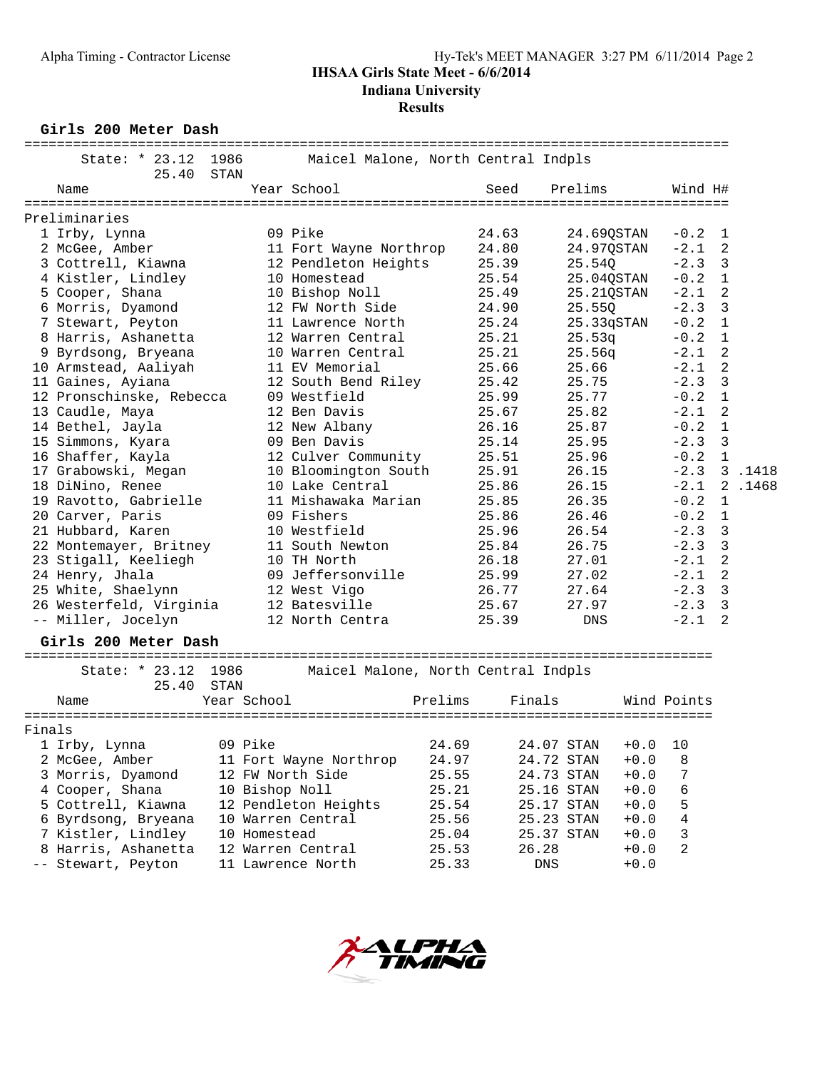# **Results**

**Girls 200 Meter Dash**

|        | ====================================<br>State: * 23.12 | 25.40 | 1986<br>STAN |              | Maicel Malone, North Central Indpls |         |                |                                    |        |             |             |        |
|--------|--------------------------------------------------------|-------|--------------|--------------|-------------------------------------|---------|----------------|------------------------------------|--------|-------------|-------------|--------|
|        | Name                                                   |       |              |              | Year School                         |         | Seed           | Prelims                            |        | Wind H#     |             |        |
|        | Preliminaries                                          |       |              |              |                                     |         |                |                                    |        |             |             |        |
|        |                                                        |       |              |              | 09 Pike                             |         | 24.63          |                                    |        | $-0.2$      |             |        |
|        | 1 Irby, Lynna                                          |       |              |              |                                     |         |                | 24.690STAN                         |        | $-2.1$      | 1<br>2      |        |
|        | 2 McGee, Amber                                         |       |              |              | 11 Fort Wayne Northrop              |         | 24.80<br>25.39 | 24.97QSTAN                         |        | $-2.3$      | 3           |        |
|        | 3 Cottrell, Kiawna                                     |       |              |              | 12 Pendleton Heights                |         |                | 25.540                             |        |             |             |        |
|        | 4 Kistler, Lindley                                     |       |              |              | 10 Homestead                        |         | 25.54          | 25.04QSTAN                         |        | $-0.2$      | $\mathbf 1$ |        |
|        | 5 Cooper, Shana                                        |       |              |              | 10 Bishop Noll                      |         | 25.49          | 25.21QSTAN                         |        | $-2.1$      | 2           |        |
|        | 6 Morris, Dyamond                                      |       |              |              | 12 FW North Side                    |         | 24.90          | 25.550                             |        | $-2.3$      | 3           |        |
|        | 7 Stewart, Peyton                                      |       |              |              | 11 Lawrence North                   |         | 25.24          | 25.33qSTAN                         |        | $-0.2$      | 1           |        |
|        | 8 Harris, Ashanetta                                    |       |              |              | 12 Warren Central                   |         | 25.21          | 25.53q                             |        | $-0.2$      | 1           |        |
|        | 9 Byrdsong, Bryeana                                    |       |              |              | 10 Warren Central                   |         | 25.21          | 25.56q                             |        | $-2.1$      | 2           |        |
|        | 10 Armstead, Aaliyah                                   |       |              |              | 11 EV Memorial                      |         | 25.66          | 25.66                              |        | $-2.1$      | 2           |        |
|        | 11 Gaines, Ayiana                                      |       |              |              | 12 South Bend Riley                 |         | 25.42          | 25.75                              |        | $-2.3$      | 3           |        |
|        | 12 Pronschinske, Rebecca                               |       |              |              | 09 Westfield                        |         | 25.99          | 25.77                              |        | $-0.2$      | 1           |        |
|        | 13 Caudle, Maya                                        |       |              |              | 12 Ben Davis                        |         | 25.67          | 25.82                              |        | $-2.1$      | 2           |        |
|        | 14 Bethel, Jayla                                       |       |              |              | 12 New Albany                       |         | 26.16          | 25.87                              |        | $-0.2$      | 1           |        |
|        | 15 Simmons, Kyara                                      |       |              |              | 09 Ben Davis                        |         | 25.14          | 25.95                              |        | $-2.3$      | 3           |        |
|        | 16 Shaffer, Kayla                                      |       |              |              | 12 Culver Community                 |         | 25.51          | 25.96                              |        | $-0.2$      | $\mathbf 1$ |        |
|        | 17 Grabowski, Megan                                    |       |              |              | 10 Bloomington South                |         | 25.91          | 26.15                              |        | $-2.3$      |             | 3.1418 |
|        | 18 DiNino, Renee                                       |       |              |              | 10 Lake Central                     |         | 25.86          | 26.15                              |        | $-2.1$      |             | 2.1468 |
|        | 19 Ravotto, Gabrielle                                  |       |              |              | 11 Mishawaka Marian                 |         | 25.85          | 26.35                              |        | $-0.2$      | $\mathbf 1$ |        |
|        | 20 Carver, Paris                                       |       |              |              | 09 Fishers                          |         | 25.86          | 26.46                              |        | $-0.2$      | 1           |        |
|        | 21 Hubbard, Karen                                      |       |              |              | 10 Westfield                        |         | 25.96          | 26.54                              |        | $-2.3$      | 3           |        |
|        | 22 Montemayer, Britney                                 |       |              |              | 11 South Newton                     |         | 25.84          | 26.75                              |        | $-2.3$      | 3           |        |
|        | 23 Stigall, Keeliegh                                   |       |              |              | 10 TH North                         |         | 26.18          | 27.01                              |        | $-2.1$      | 2           |        |
|        | 24 Henry, Jhala                                        |       |              |              | 09 Jeffersonville                   |         | 25.99          | 27.02                              |        | $-2.1$      | 2           |        |
|        | 25 White, Shaelynn                                     |       |              |              | 12 West Vigo                        |         | 26.77          | 27.64                              |        | $-2.3$      | 3           |        |
|        | 26 Westerfeld, Virginia                                |       |              |              | 12 Batesville                       |         | 25.67          | 27.97                              |        | $-2.3$      | 3           |        |
|        | -- Miller, Jocelyn                                     |       |              |              | 12 North Centra                     |         | 25.39          | DNS                                |        | $-2.1$      | 2           |        |
|        | Girls 200 Meter Dash                                   |       |              |              |                                     |         |                |                                    |        |             |             |        |
|        |                                                        |       |              |              |                                     |         |                |                                    |        |             |             |        |
|        | State: * 23.12                                         |       | 1986         |              | Maicel Malone, North Central Indpls |         |                |                                    |        |             |             |        |
|        |                                                        | 25.40 | STAN         |              |                                     |         |                |                                    |        |             |             |        |
|        | Name                                                   |       |              | Year School  |                                     | Prelims | Finals         |                                    |        | Wind Points |             |        |
| Finals |                                                        |       |              |              |                                     |         |                | ================================== |        |             |             |        |
|        | 1 Irby, Lynna                                          |       |              | 09 Pike      |                                     | 24.69   |                | 24.07 STAN                         | $+0.0$ | 10          |             |        |
|        |                                                        |       |              |              |                                     |         |                | 24.72 STAN                         |        |             |             |        |
|        | 2 McGee, Amber                                         |       |              |              | 11 Fort Wayne Northrop              | 24.97   |                |                                    | $+0.0$ | 8           |             |        |
|        | 3 Morris, Dyamond                                      |       |              |              | 12 FW North Side                    | 25.55   |                | 24.73 STAN                         | $+0.0$ | 7           |             |        |
|        | 4 Cooper, Shana                                        |       |              |              | 10 Bishop Noll                      | 25.21   |                | 25.16 STAN                         | $+0.0$ | 6           |             |        |
|        | 5 Cottrell, Kiawna                                     |       |              |              | 12 Pendleton Heights                | 25.54   |                | 25.17 STAN                         | $+0.0$ | 5           |             |        |
|        | 6 Byrdsong, Bryeana                                    |       |              |              | 10 Warren Central                   | 25.56   |                | 25.23 STAN                         | $+0.0$ | 4           |             |        |
|        | 7 Kistler, Lindley                                     |       |              | 10 Homestead |                                     | 25.04   |                | 25.37 STAN                         | $+0.0$ | 3           |             |        |
|        | 8 Harris, Ashanetta                                    |       |              |              | 12 Warren Central                   | 25.53   | 26.28          |                                    | $+0.0$ | 2           |             |        |
|        | -- Stewart, Peyton                                     |       |              |              | 11 Lawrence North                   | 25.33   |                | DNS                                | $+0.0$ |             |             |        |

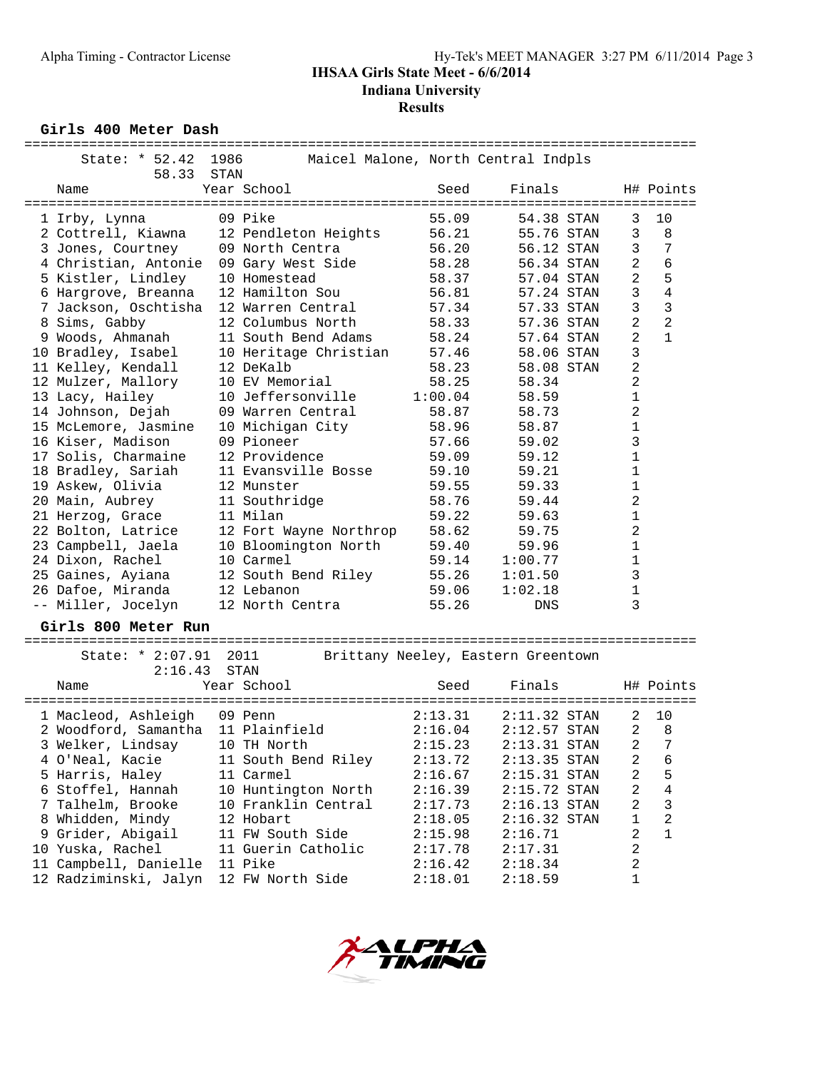# **IHSAA Girls State Meet - 6/6/2014**

**Indiana University**

# **Results**

**Girls 400 Meter Dash**

| Giris 400 Meter Dasn               |              |                                     |         |                                     |                   |                |  |
|------------------------------------|--------------|-------------------------------------|---------|-------------------------------------|-------------------|----------------|--|
| State: * 52.42<br>58.33            | 1986<br>STAN |                                     |         | Maicel Malone, North Central Indpls |                   |                |  |
| Name                               |              | Year School                         | Seed    | Finals                              |                   | H# Points      |  |
| 1 Irby, Lynna                      |              | 09 Pike                             | 55.09   | 54.38 STAN                          | 3                 | 10             |  |
| 2 Cottrell, Kiawna                 |              | 12 Pendleton Heights                | 56.21   | 55.76 STAN                          | 3                 | 8              |  |
| 3 Jones, Courtney                  |              | 09 North Centra                     | 56.20   | 56.12 STAN                          | 3                 | 7              |  |
| 4 Christian, Antonie               |              | 09 Gary West Side                   | 58.28   | 56.34 STAN                          | $\overline{2}$    | 6              |  |
| 5 Kistler, Lindley                 |              | 10 Homestead                        | 58.37   | 57.04 STAN                          | 2                 | 5              |  |
| 6 Hargrove, Breanna                |              | 12 Hamilton Sou                     | 56.81   | 57.24 STAN                          | 3                 | $\overline{4}$ |  |
| 7 Jackson, Oschtisha               |              | 12 Warren Central                   | 57.34   | 57.33 STAN                          | 3                 | $\mathbf{3}$   |  |
| 8 Sims, Gabby                      |              | 12 Columbus North                   | 58.33   | 57.36 STAN                          | 2                 | $\overline{2}$ |  |
| 9 Woods, Ahmanah                   |              | 11 South Bend Adams                 | 58.24   | 57.64 STAN                          | 2                 | $\mathbf{1}$   |  |
| 10 Bradley, Isabel                 |              | 10 Heritage Christian               | 57.46   | 58.06 STAN                          | 3                 |                |  |
|                                    |              | 12 DeKalb                           | 58.23   |                                     | 2                 |                |  |
| 11 Kelley, Kendall                 |              |                                     |         | 58.08 STAN                          |                   |                |  |
| 12 Mulzer, Mallory                 |              | 10 EV Memorial<br>10 Jeffersonville | 58.25   | 58.34                               | 2<br>$\mathbf{1}$ |                |  |
| 13 Lacy, Hailey                    |              |                                     | 1:00.04 | 58.59                               |                   |                |  |
| 14 Johnson, Dejah                  |              | 09 Warren Central                   | 58.87   | 58.73                               | 2                 |                |  |
| 15 McLemore, Jasmine               |              | 10 Michigan City                    | 58.96   | 58.87                               | 1                 |                |  |
| 16 Kiser, Madison                  |              | 09 Pioneer                          | 57.66   | 59.02                               | 3                 |                |  |
| 17 Solis, Charmaine                |              | 12 Providence                       | 59.09   | 59.12                               | 1                 |                |  |
| 18 Bradley, Sariah                 |              | 11 Evansville Bosse                 | 59.10   | 59.21                               | 1                 |                |  |
| 19 Askew, Olivia                   |              | 12 Munster                          | 59.55   | 59.33                               | 1                 |                |  |
| 20 Main, Aubrey                    |              | 11 Southridge                       | 58.76   | 59.44                               | 2                 |                |  |
| 21 Herzog, Grace                   |              | 11 Milan                            | 59.22   | 59.63                               | 1                 |                |  |
| 22 Bolton, Latrice                 |              | 12 Fort Wayne Northrop              | 58.62   | 59.75                               | 2                 |                |  |
| 23 Campbell, Jaela                 |              | 10 Bloomington North                | 59.40   | 59.96                               | 1                 |                |  |
| 24 Dixon, Rachel                   |              | 10 Carmel                           | 59.14   | 1:00.77                             | 1                 |                |  |
| 25 Gaines, Ayiana                  |              | 12 South Bend Riley                 | 55.26   | 1:01.50                             | 3                 |                |  |
| 26 Dafoe, Miranda                  |              | 12 Lebanon                          | 59.06   | 1:02.18                             | $\mathbf 1$       |                |  |
| -- Miller, Jocelyn                 |              | 12 North Centra                     | 55.26   | DNS                                 | 3                 |                |  |
| Girls 800 Meter Run                |              |                                     |         |                                     |                   |                |  |
| State: * 2:07.91                   |              | 2011                                |         | Brittany Neeley, Eastern Greentown  |                   |                |  |
| 2:16.43                            |              | STAN                                |         |                                     |                   |                |  |
| Name                               |              | Year School                         | Seed    | Finals                              |                   | H# Points      |  |
|                                    |              |                                     |         | ================                    |                   |                |  |
| 1 Macleod, Ashleigh                |              | 09 Penn                             | 2:13.31 | $2:11.32$ STAN                      | 2                 | 10             |  |
| 2 Woodford, Samantha 11 Plainfield |              |                                     | 2:16.04 | $2:12.57$ STAN                      | 2                 | 8              |  |
| 3 Welker, Lindsay                  |              | 10 TH North                         | 2:15.23 | $2:13.31$ STAN                      | 2                 | 7              |  |
| 4 O'Neal, Kacie                    |              | 11 South Bend Riley                 | 2:13.72 | $2:13.35$ STAN                      | 2                 | 6              |  |
| 5 Harris, Haley                    |              | 11 Carmel                           | 2:16.67 | $2:15.31$ STAN                      | 2                 | 5              |  |
| 6 Stoffel, Hannah                  |              | 10 Huntington North                 | 2:16.39 | $2:15.72$ STAN                      | $\overline{2}$    | 4              |  |
| 7 Talhelm, Brooke                  |              | 10 Franklin Central                 | 2:17.73 | $2:16.13$ STAN                      | 2                 | 3              |  |
| 8 Whidden, Mindy                   |              | 12 Hobart                           | 2:18.05 | $2:16.32$ STAN                      | 1                 | $\overline{2}$ |  |
| 9 Grider, Abigail                  |              | 11 FW South Side                    |         | 2:16.71                             | 2                 | $\mathbf{1}$   |  |
|                                    |              | 11 Guerin Catholic                  | 2:15.98 |                                     | 2                 |                |  |
| 10 Yuska, Rachel                   |              | 11 Pike                             | 2:17.78 | 2:17.31                             |                   |                |  |
| 11 Campbell, Danielle              |              |                                     | 2:16.42 | 2:18.34                             | 2                 |                |  |
| 12 Radziminski, Jalyn              |              | 12 FW North Side                    | 2:18.01 | 2:18.59                             | 1                 |                |  |

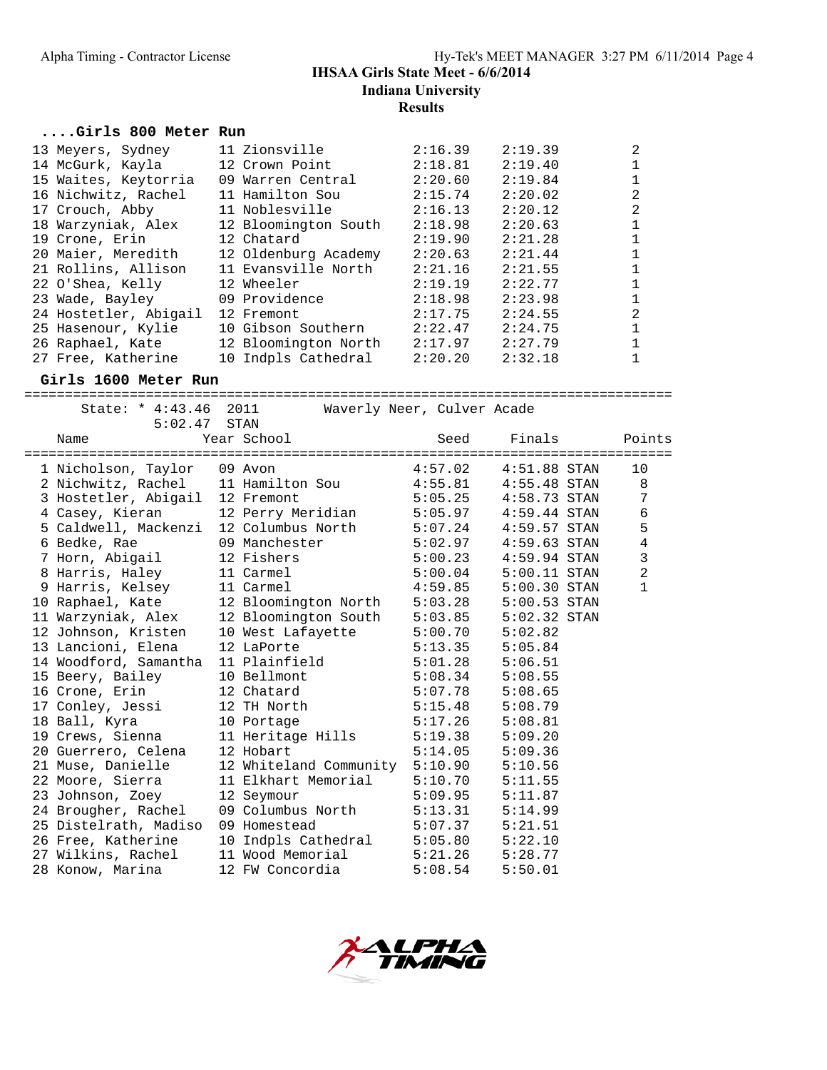#### **....Girls 800 Meter Run**

| 13 Meyers, Sydney     | 11 Zionsville        | 2:16.39 | 2:19.39 | 2 |
|-----------------------|----------------------|---------|---------|---|
| 14 McGurk, Kayla      | 12 Crown Point       | 2:18.81 | 2:19.40 |   |
| 15 Waites, Keytorria  | 09 Warren Central    | 2:20.60 | 2:19.84 |   |
| 16 Nichwitz, Rachel   | 11 Hamilton Sou      | 2:15.74 | 2:20.02 | 2 |
| 17 Crouch, Abby       | 11 Noblesville       | 2:16.13 | 2:20.12 | 2 |
| 18 Warzyniak, Alex    | 12 Bloomington South | 2:18.98 | 2:20.63 |   |
| 19 Crone, Erin        | 12 Chatard           | 2:19.90 | 2:21.28 |   |
| 20 Maier, Meredith    | 12 Oldenburg Academy | 2:20.63 | 2:21.44 |   |
| 21 Rollins, Allison   | 11 Evansville North  | 2:21.16 | 2:21.55 |   |
| 22 O'Shea, Kelly      | 12 Wheeler           | 2:19.19 | 2:22.77 |   |
| 23 Wade, Bayley       | 09 Providence        | 2:18.98 | 2:23.98 |   |
| 24 Hostetler, Abigail | 12 Fremont           | 2:17.75 | 2:24.55 | 2 |
| 25 Hasenour, Kylie    | 10 Gibson Southern   | 2:22.47 | 2:24.75 |   |
| 26 Raphael, Kate      | 12 Bloomington North | 2:17.97 | 2:27.79 |   |
| 27 Free, Katherine    | 10 Indpls Cathedral  | 2:20.20 | 2:32.18 |   |

#### **Girls 1600 Meter Run**

================================================================================ State: \* 4:43.46 2011 Waverly Neer, Culver Acade 5:02.47 STAN Name Year School Seed Finals Points ================================================================================ 1 Nicholson, Taylor 09 Avon 4:57.02 4:51.88 STAN 10 2 Nichwitz, Rachel 11 Hamilton Sou 4:55.81 4:55.48 STAN 8 3 Hostetler, Abigail 12 Fremont 5:05.25 4:58.73 STAN 7 4 Casey, Kieran 12 Perry Meridian 5:05.97 4:59.44 STAN 6 5 Caldwell, Mackenzi 12 Columbus North 5:07.24 4:59.57 STAN 5 6 Bedke, Rae 09 Manchester 5:02.97 4:59.63 STAN 4 7 Horn, Abigail 12 Fishers 5:00.23 4:59.94 STAN 3 8 Harris, Haley 11 Carmel 5:00.04 5:00.11 STAN 2 9 Harris, Kelsey 11 Carmel 4:59.85 5:00.30 STAN 1 10 Raphael, Kate 12 Bloomington North 5:03.28 5:00.53 STAN 11 Warzyniak, Alex 12 Bloomington South 5:03.85 5:02.32 STAN 12 Johnson, Kristen 10 West Lafayette 5:00.70 5:02.82 13 Lancioni, Elena 12 LaPorte 5:13.35 5:05.84 14 Woodford, Samantha 11 Plainfield 5:01.28 5:06.51 15 Beery, Bailey 10 Bellmont 5:08.34 5:08.55 16 Crone, Erin 12 Chatard 5:07.78 5:08.65 17 Conley, Jessi 12 TH North 5:15.48 5:08.79 18 Ball, Kyra 10 Portage 5:17.26 5:08.81 19 Crews, Sienna 11 Heritage Hills 5:19.38 5:09.20 20 Guerrero, Celena 12 Hobart 5:14.05 5:09.36 21 Muse, Danielle 12 Whiteland Community 5:10.90 5:10.56 22 Moore, Sierra 11 Elkhart Memorial 5:10.70 5:11.55 23 Johnson, Zoey 12 Seymour 5:09.95 5:11.87 24 Brougher, Rachel 09 Columbus North 5:13.31 5:14.99 25 Distelrath, Madiso 09 Homestead 5:07.37 5:21.51 26 Free, Katherine 10 Indpls Cathedral 5:05.80 5:22.10 27 Wilkins, Rachel 11 Wood Memorial 5:21.26 5:28.77 28 Konow, Marina 12 FW Concordia 5:08.54 5:50.01

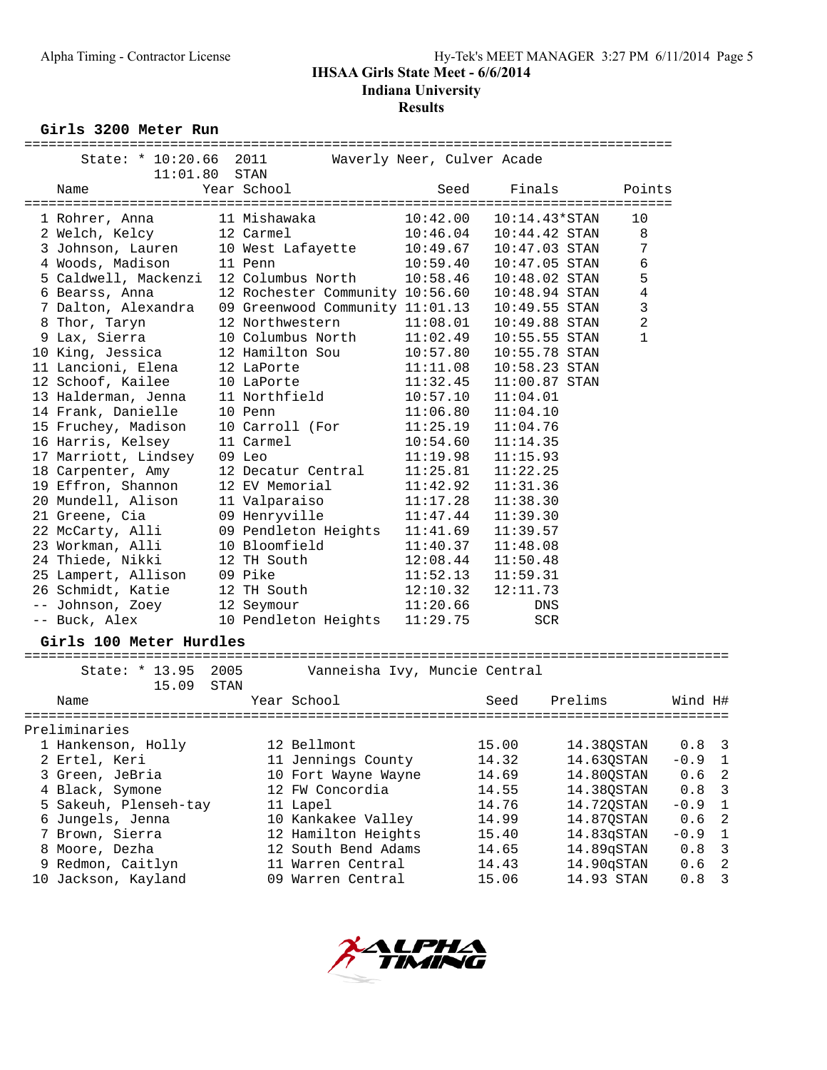**Girls 3200 Meter Run**

| State: * 10:20.66                        | 2011         |                                    |                      | Waverly Neer, Culver Acade         |                                                 |         |                |
|------------------------------------------|--------------|------------------------------------|----------------------|------------------------------------|-------------------------------------------------|---------|----------------|
| 11:01.80                                 | STAN         |                                    |                      |                                    |                                                 |         |                |
| Name                                     | Year School  |                                    | Seed                 | Finals                             | Points                                          |         |                |
|                                          | 11 Mishawaka | =========================          | =====<br>10:42.00    | ----                               | ==============<br>10                            |         |                |
| 1 Rohrer, Anna<br>2 Welch, Kelcy         | 12 Carmel    |                                    | 10:46.04             | $10:14.43*STAN$<br>$10:44.42$ STAN | 8                                               |         |                |
| 3 Johnson, Lauren                        |              | 10 West Lafayette                  | 10:49.67             | $10:47.03$ STAN                    | 7                                               |         |                |
| 4 Woods, Madison                         | 11 Penn      |                                    | 10:59.40             | $10:47.05$ STAN                    | $\epsilon$                                      |         |                |
| 5 Caldwell, Mackenzi                     |              | 12 Columbus North                  | 10:58.46             | $10:48.02$ STAN                    | 5                                               |         |                |
| 6 Bearss, Anna                           |              | 12 Rochester Community 10:56.60    |                      | $10:48.94$ STAN                    | 4                                               |         |                |
| 7 Dalton, Alexandra                      |              | 09 Greenwood Community 11:01.13    |                      | $10:49.55$ STAN                    | 3                                               |         |                |
|                                          |              | 12 Northwestern                    | 11:08.01             | $10:49.88$ STAN                    | 2                                               |         |                |
| 8 Thor, Taryn<br>9 Lax, Sierra           |              | 10 Columbus North                  | 11:02.49             | $10:55.55$ STAN                    | 1                                               |         |                |
| 10 King, Jessica                         |              | 12 Hamilton Sou                    | 10:57.80             | 10:55.78 STAN                      |                                                 |         |                |
|                                          |              |                                    | 11:11.08             | $10:58.23$ STAN                    |                                                 |         |                |
| 11 Lancioni, Elena                       | 12 LaPorte   |                                    | 11:32.45             | $11:00.87$ STAN                    |                                                 |         |                |
| 12 Schoof, Kailee<br>13 Halderman, Jenna | 10 LaPorte   | 11 Northfield                      | 10:57.10             | 11:04.01                           |                                                 |         |                |
|                                          |              |                                    |                      | 11:04.10                           |                                                 |         |                |
| 14 Frank, Danielle                       | 10 Penn      |                                    | 11:06.80             |                                    |                                                 |         |                |
| 15 Fruchey, Madison<br>16 Harris, Kelsey | 11 Carmel    | 10 Carroll (For                    | 11:25.19             | 11:04.76                           |                                                 |         |                |
|                                          | 09 Leo       |                                    | 10:54.60<br>11:19.98 | 11:14.35                           |                                                 |         |                |
| 17 Marriott, Lindsey                     |              |                                    |                      | 11:15.93                           |                                                 |         |                |
| 18 Carpenter, Amy                        |              | 12 Decatur Central                 | 11:25.81             | 11:22.25                           |                                                 |         |                |
| 19 Effron, Shannon                       |              | 12 EV Memorial                     | 11:42.92             | 11:31.36                           |                                                 |         |                |
| 20 Mundell, Alison                       |              | 11 Valparaiso                      | 11:17.28             | 11:38.30                           |                                                 |         |                |
| 21 Greene, Cia                           |              | 09 Henryville                      | 11:47.44             | 11:39.30                           |                                                 |         |                |
| 22 McCarty, Alli                         |              | 09 Pendleton Heights               | 11:41.69             | 11:39.57                           |                                                 |         |                |
| 23 Workman, Alli                         |              | 10 Bloomfield                      | 11:40.37             | 11:48.08                           |                                                 |         |                |
| 24 Thiede, Nikki                         | 12 TH South  |                                    | 12:08.44             | 11:50.48                           |                                                 |         |                |
| 25 Lampert, Allison                      | 09 Pike      |                                    | 11:52.13             | 11:59.31                           |                                                 |         |                |
| 26 Schmidt, Katie                        | 12 TH South  |                                    | 12:10.32             | 12:11.73                           |                                                 |         |                |
| -- Johnson, Zoey                         | 12 Seymour   |                                    | 11:20.66             | DNS                                |                                                 |         |                |
| -- Buck, Alex                            |              | 10 Pendleton Heights               | 11:29.75             | <b>SCR</b>                         |                                                 |         |                |
| Girls 100 Meter Hurdles                  |              |                                    |                      |                                    |                                                 |         |                |
|                                          |              |                                    |                      |                                    |                                                 |         |                |
| State: * 13.95                           | 2005         | Vanneisha Ivy, Muncie Central      |                      |                                    |                                                 |         |                |
| 15.09                                    | STAN         |                                    |                      |                                    |                                                 |         |                |
| Name<br>================                 |              | Year School<br>=================== |                      | Seed                               | Prelims<br>==================================== | Wind H# |                |
| Preliminaries                            |              |                                    |                      |                                    |                                                 |         |                |
| 1 Hankenson, Holly                       |              | 12 Bellmont                        |                      | 15.00                              | 14.38QSTAN                                      | 0.8     | 3              |
| 2 Ertel, Keri                            |              | 11 Jennings County                 |                      | 14.32                              | 14.63QSTAN                                      | $-0.9$  | 1              |
| 3 Green, JeBria                          |              | 10 Fort Wayne Wayne                |                      | 14.69                              | 14.80QSTAN                                      | 0.6     | $\sqrt{2}$     |
| 4 Black, Symone                          |              | 12 FW Concordia                    |                      | 14.55                              | 14.38QSTAN                                      | 0.8     | 3              |
| 5 Sakeuh, Plenseh-tay                    |              | 11 Lapel                           |                      | 14.76                              | 14.72QSTAN                                      | $-0.9$  | $1\,$          |
| 6 Jungels, Jenna                         |              | 10 Kankakee Valley                 |                      | 14.99                              | 14.87QSTAN                                      | 0.6     | $\overline{c}$ |
| 7 Brown, Sierra                          |              | 12 Hamilton Heights                |                      | 15.40                              | 14.83qSTAN                                      | $-0.9$  | 1              |
| 8 Moore, Dezha                           |              | 12 South Bend Adams                |                      | 14.65                              | 14.89qSTAN                                      | 0.8     | 3              |
| 9 Redmon, Caitlyn                        |              | 11 Warren Central                  |                      | 14.43                              | 14.90qSTAN                                      | 0.6     | $\sqrt{2}$     |
| 10 Jackson, Kayland                      |              | 09 Warren Central                  |                      | 15.06                              | 14.93 STAN                                      | 0.8     | $\mathfrak{Z}$ |
|                                          |              |                                    |                      |                                    |                                                 |         |                |

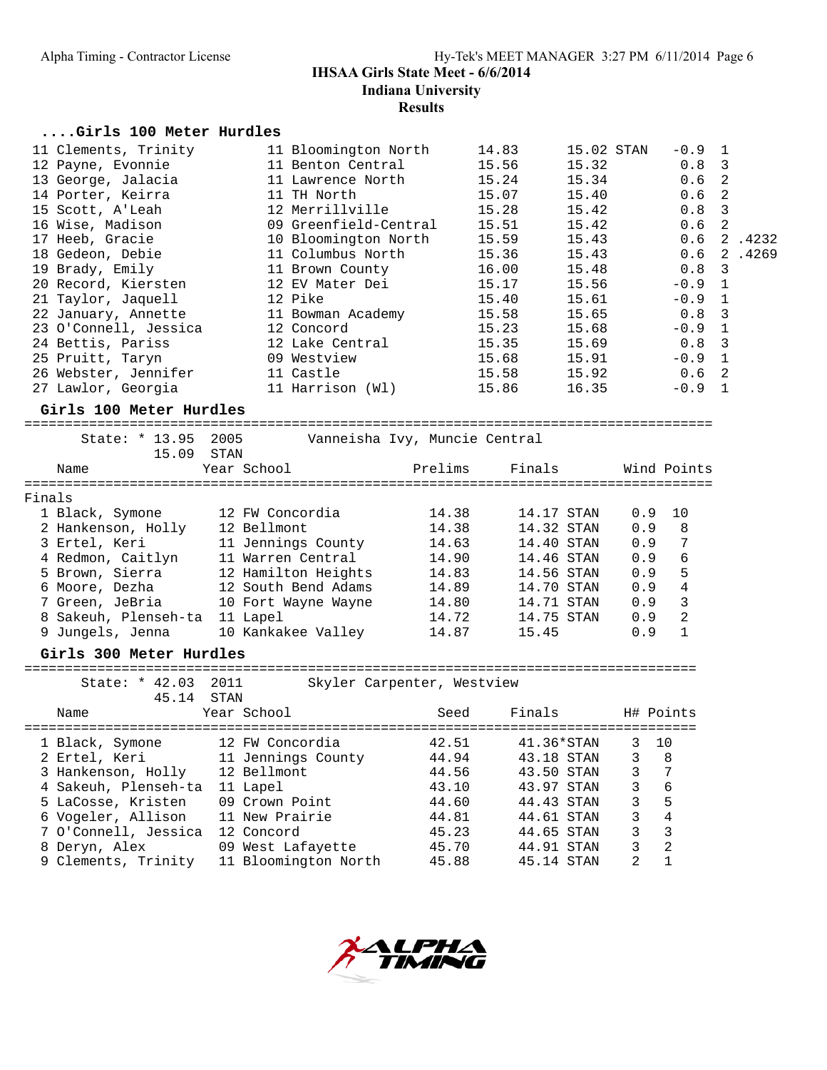#### **....Girls 100 Meter Hurdles**

| 11 Clements, Trinity  | 11 Bloomington North  | 14.83 | 15.02 STAN | $-0.9$ 1         |        |
|-----------------------|-----------------------|-------|------------|------------------|--------|
| 12 Payne, Evonnie     | 11 Benton Central     | 15.56 | 15.32      | 0.8 <sup>3</sup> |        |
| 13 George, Jalacia    | 11 Lawrence North     | 15.24 | 15.34      | 0.6 <sub>2</sub> |        |
| 14 Porter, Keirra     | 11 TH North           | 15.07 | 15.40      | 0.6 <sub>2</sub> |        |
| 15 Scott, A'Leah      | 12 Merrillville       | 15.28 | 15.42      | $0.8 \quad 3$    |        |
| 16 Wise, Madison      | 09 Greenfield-Central | 15.51 | 15.42      | 0.6 <sub>2</sub> |        |
| 17 Heeb, Gracie       | 10 Bloomington North  | 15.59 | 15.43      | 0.6              | 2.4232 |
| 18 Gedeon, Debie      | 11 Columbus North     | 15.36 | 15.43      | 0.6              | 2.4269 |
| 19 Brady, Emily       | 11 Brown County       | 16.00 | 15.48      | $0.8 \quad 3$    |        |
| 20 Record, Kiersten   | 12 EV Mater Dei       | 15.17 | 15.56      | $-0.9$ 1         |        |
| 21 Taylor, Jaquell    | 12 Pike               | 15.40 | 15.61      | $-0.9$ 1         |        |
| 22 January, Annette   | 11 Bowman Academy     | 15.58 | 15.65      | 0.8 <sup>3</sup> |        |
| 23 O'Connell, Jessica | 12 Concord            | 15.23 | 15.68      | $-0.9$ 1         |        |
| 24 Bettis, Pariss     | 12 Lake Central       | 15.35 | 15.69      | 0.8 <sup>3</sup> |        |
| 25 Pruitt, Taryn      | 09 Westview           | 15.68 | 15.91      | $-0.9$ 1         |        |
| 26 Webster, Jennifer  | 11 Castle             | 15.58 | 15.92      | 0.6 <sub>2</sub> |        |
| 27 Lawlor, Georgia    | 11 Harrison (Wl)      | 15.86 | 16.35      | $-0.9$           |        |

#### **Girls 100 Meter Hurdles**

===================================================================================== State: \* 13.95 2005 Vanneisha Ivy, Muncie Central 15.09 STAN Name Year School Prelims Finals Wind Points ===================================================================================== Finals 1 Black, Symone 12 FW Concordia 14.38 14.17 STAN 0.9 10 2 Hankenson, Holly 12 Bellmont 14.38 14.32 STAN 0.9 8 3 Ertel, Keri 11 Jennings County 14.63 14.40 STAN 0.9 7 4 Redmon, Caitlyn 11 Warren Central 14.90 14.46 STAN 0.9 6 5 Brown, Sierra 12 Hamilton Heights 14.83 14.56 STAN 0.9 5 6 Moore, Dezha 12 South Bend Adams 14.89 14.70 STAN 0.9 4 7 Green, JeBria 10 Fort Wayne Wayne 14.80 14.71 STAN 0.9 3 8 Sakeuh, Plenseh-ta 11 Lapel 14.72 14.75 STAN 0.9 2 9 Jungels, Jenna 10 Kankakee Valley 14.87 15.45 0.9 1

#### **Girls 300 Meter Hurdles**

===================================================================================

State: \* 42.03 2011 Skyler Carpenter, Westview<br>45.14 STAN 45.14 STAN<br>45.14 STAN<br>Year School Name Year School Seed Finals H# Points =================================================================================== 1 Black, Symone 12 FW Concordia 42.51 41.36\*STAN 3 10 2 Ertel, Keri 11 Jennings County 44.94 43.18 STAN 3 8 3 Hankenson, Holly 12 Bellmont 44.56 43.50 STAN 3 7 4 Sakeuh, Plenseh-ta 11 Lapel 43.10 43.97 STAN 3 6 5 LaCosse, Kristen 09 Crown Point 44.60 44.43 STAN 3 5 6 Vogeler, Allison 11 New Prairie 44.81 44.61 STAN 3 4 7 O'Connell, Jessica 12 Concord 45.23 44.65 STAN 3 3 8 Deryn, Alex 09 West Lafayette 45.70 44.91 STAN 3 2 9 Clements, Trinity 11 Bloomington North 45.88 45.14 STAN 2 1

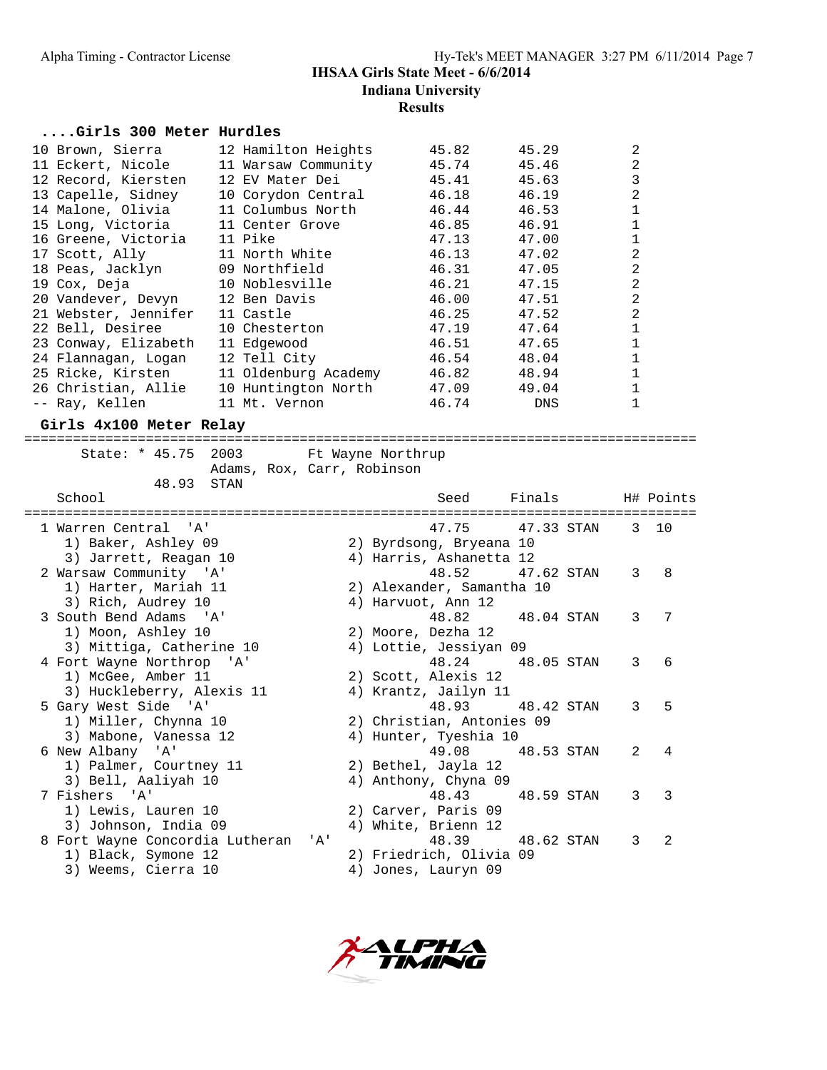#### **....Girls 300 Meter Hurdles**

| 10 Brown, Sierra     | 12 Hamilton Heights  | 45.82 | 45.29      |   |
|----------------------|----------------------|-------|------------|---|
| 11 Eckert, Nicole    | 11 Warsaw Community  | 45.74 | 45.46      | 2 |
| 12 Record, Kiersten  | 12 EV Mater Dei      | 45.41 | 45.63      | 3 |
| 13 Capelle, Sidney   | 10 Corydon Central   | 46.18 | 46.19      | 2 |
| 14 Malone, Olivia    | 11 Columbus North    | 46.44 | 46.53      |   |
| 15 Long, Victoria    | 11 Center Grove      | 46.85 | 46.91      |   |
| 16 Greene, Victoria  | 11 Pike              | 47.13 | 47.00      |   |
| 17 Scott, Ally       | 11 North White       | 46.13 | 47.02      |   |
| 18 Peas, Jacklyn     | 09 Northfield        | 46.31 | 47.05      |   |
| 19 Cox, Deja         | 10 Noblesville       | 46.21 | 47.15      |   |
| 20 Vandever, Devyn   | 12 Ben Davis         | 46.00 | 47.51      |   |
| 21 Webster, Jennifer | 11 Castle            | 46.25 | 47.52      | 2 |
| 22 Bell, Desiree     | 10 Chesterton        | 47.19 | 47.64      |   |
| 23 Conway, Elizabeth | 11 Edgewood          | 46.51 | 47.65      |   |
| 24 Flannagan, Logan  | 12 Tell City         | 46.54 | 48.04      |   |
| 25 Ricke, Kirsten    | 11 Oldenburg Academy | 46.82 | 48.94      |   |
| 26 Christian, Allie  | 10 Huntington North  | 47.09 | 49.04      |   |
| -- Ray, Kellen       | 11 Mt. Vernon        | 46.74 | <b>DNS</b> |   |

#### **Girls 4x100 Meter Relay**

===================================================================================

State: \* 45.75 2003 Ft Wayne Northrup Adams, Rox, Carr, Robinson 48.93 STAN

| School                          |                  | Seed                             | Finals           |                | H# Points      |
|---------------------------------|------------------|----------------------------------|------------------|----------------|----------------|
| 1 Warren Central 'A'            |                  |                                  | 47.75 47.33 STAN |                | 3 10           |
| 1) Baker, Ashley 09             |                  | 2) Byrdsong, Bryeana 10          |                  |                |                |
| 3) Jarrett, Reagan 10           |                  | 4) Harris, Ashanetta 12<br>48.52 |                  | 3              | 8              |
| 2 Warsaw Community 'A'          |                  |                                  | 47.62 STAN       |                |                |
| 1) Harter, Mariah 11            |                  | 2) Alexander, Samantha 10        |                  |                |                |
| 3) Rich, Audrey 10              |                  | 4) Harvuot, Ann 12               |                  |                |                |
| 3 South Bend Adams 'A'          |                  | 48.82                            | 48.04 STAN       | 3              | 7              |
| 1) Moon, Ashley 10              |                  | 2) Moore, Dezha 12               |                  |                |                |
| 3) Mittiga, Catherine 10        |                  | 4) Lottie, Jessiyan 09           |                  |                |                |
| 4 Fort Wayne Northrop 'A'       |                  |                                  | 48.24 48.05 STAN | 3              | 6              |
| 1) McGee, Amber 11              |                  | 2) Scott, Alexis 12              |                  |                |                |
| 3) Huckleberry, Alexis 11       |                  | 4) Krantz, Jailyn 11             |                  |                |                |
| 5 Gary West Side 'A'            |                  |                                  | 48.93 48.42 STAN | 3              | 5              |
| 1) Miller, Chynna 10            |                  | 2) Christian, Antonies 09        |                  |                |                |
| 3) Mabone, Vanessa 12           |                  | 4) Hunter, Tyeshia 10            |                  |                |                |
| 6 New Albany 'A'                |                  |                                  | 49.08 48.53 STAN | $\overline{2}$ | 4              |
| 1) Palmer, Courtney 11          |                  | 2) Bethel, Jayla 12              |                  |                |                |
| 3) Bell, Aaliyah 10             |                  | 4) Anthony, Chyna 09             |                  |                |                |
| 7 Fishers 'A'                   |                  | 48.43                            | 48.59 STAN       | 3              | 3              |
| 1) Lewis, Lauren 10             |                  | 2) Carver, Paris 09              |                  |                |                |
| 3) Johnson, India 09            |                  | 4) White, Brienn 12              |                  |                |                |
| 8 Fort Wayne Concordia Lutheran | $\overline{A}$ ' | 48.39                            | 48.62 STAN       | 3              | $\mathfrak{D}$ |
| 1) Black, Symone 12             |                  | 2) Friedrich, Olivia 09          |                  |                |                |
| 3) Weems, Cierra 10             |                  | 4) Jones, Lauryn 09              |                  |                |                |
|                                 |                  |                                  |                  |                |                |

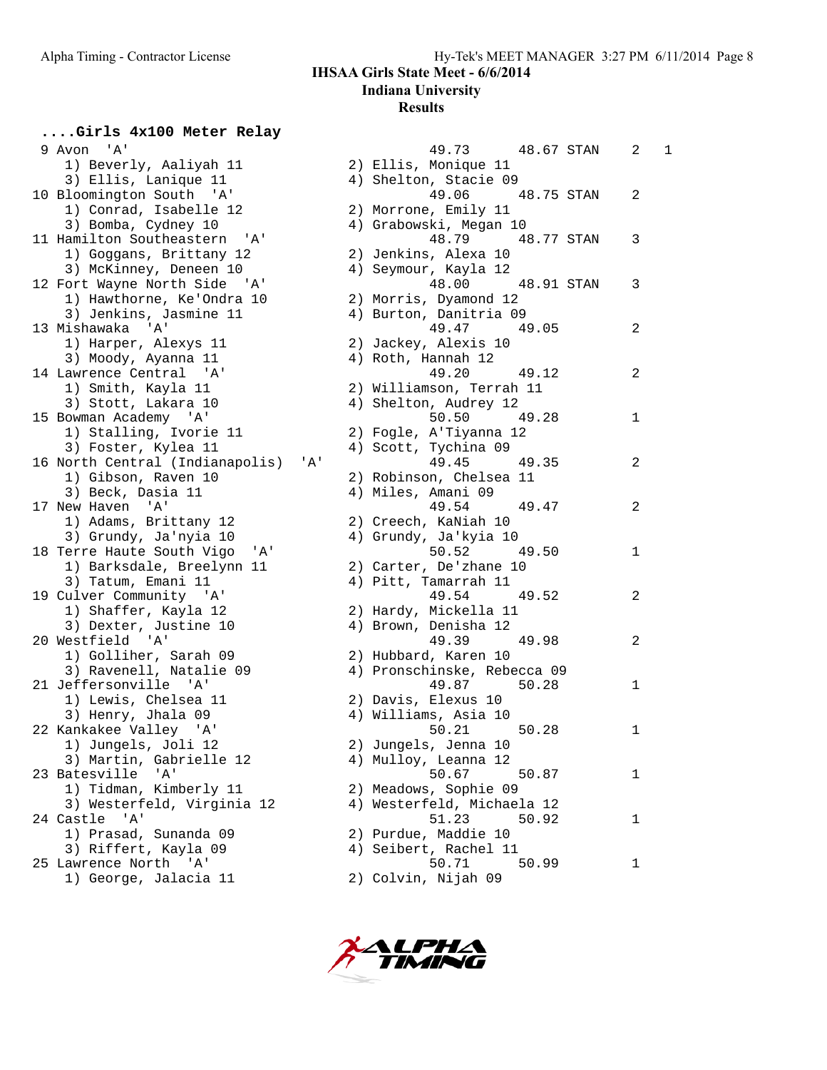| 9 Avon 'A'                       |     | 49.73 48.67 STAN            | 2<br>1 |
|----------------------------------|-----|-----------------------------|--------|
| 1) Beverly, Aaliyah 11           |     | 2) Ellis, Monique 11        |        |
| 3) Ellis, Lanique 11             |     | 4) Shelton, Stacie 09       |        |
| 10 Bloomington South 'A'         |     | 49.06<br>48.75 STAN         | 2      |
| 1) Conrad, Isabelle 12           |     | 2) Morrone, Emily 11        |        |
| 3) Bomba, Cydney 10              |     | 4) Grabowski, Megan 10      |        |
| 11 Hamilton Southeastern 'A'     |     | 48.79 48.77 STAN            | 3      |
| 1) Goggans, Brittany 12          |     | 2) Jenkins, Alexa 10        |        |
| 3) McKinney, Deneen 10           |     | 4) Seymour, Kayla 12        |        |
| 12 Fort Wayne North Side 'A'     |     | 48.00<br>48.91 STAN         | 3      |
| 1) Hawthorne, Ke'Ondra 10        |     | 2) Morris, Dyamond 12       |        |
| 3) Jenkins, Jasmine 11           |     | 4) Burton, Danitria 09      |        |
| 13 Mishawaka 'A'                 |     | 49.47 49.05                 | 2      |
| 1) Harper, Alexys 11             |     | 2) Jackey, Alexis 10        |        |
| 3) Moody, Ayanna 11              |     | 4) Roth, Hannah 12          |        |
| 14 Lawrence Central 'A'          |     | 49.20<br>49.12              | 2      |
| 1) Smith, Kayla 11               |     | 2) Williamson, Terrah 11    |        |
| 3) Stott, Lakara 10              |     | 4) Shelton, Audrey 12       |        |
| 15 Bowman Academy 'A'            |     | 50.50<br>49.28              | 1      |
| 1) Stalling, Ivorie 11           |     | 2) Fogle, A'Tiyanna 12      |        |
| 3) Foster, Kylea 11              |     | 4) Scott, Tychina 09        |        |
| 16 North Central (Indianapolis)  | 'A' | 49.45<br>49.35              | 2      |
| 1) Gibson, Raven 10              |     | 2) Robinson, Chelsea 11     |        |
| 3) Beck, Dasia 11                |     | 4) Miles, Amani 09          |        |
| 17 New Haven 'A'                 |     | 49.47<br>49.54              | 2      |
| 1) Adams, Brittany 12            |     | 2) Creech, KaNiah 10        |        |
| 3) Grundy, Ja'nyia 10            |     | 4) Grundy, Ja'kyia 10       |        |
| 18 Terre Haute South Vigo<br>'A' |     | 50.52<br>49.50              | 1      |
| 1) Barksdale, Breelynn 11        |     | 2) Carter, De'zhane 10      |        |
| 3) Tatum, Emani 11               |     | 4) Pitt, Tamarrah 11        |        |
| 19 Culver Community 'A'          |     | 49.52<br>49.54              | 2      |
| 1) Shaffer, Kayla 12             |     | 2) Hardy, Mickella 11       |        |
| 3) Dexter, Justine 10            |     | 4) Brown, Denisha 12        |        |
| 20 Westfield 'A'                 |     | 49.39<br>49.98              | 2      |
| 1) Golliher, Sarah 09            |     | 2) Hubbard, Karen 10        |        |
| 3) Ravenell, Natalie 09          |     | 4) Pronschinske, Rebecca 09 |        |
| 21 Jeffersonville 'A'            |     | 49.87<br>50.28              | 1      |
| 1) Lewis, Chelsea 11             |     | 2) Davis, Elexus 10         |        |
| 3) Henry, Jhala 09               |     | 4) Williams, Asia 10        |        |
| 22 Kankakee Valley 'A'           |     | 50.21<br>50.28              | 1      |
| 1) Jungels, Joli 12              |     | 2) Jungels, Jenna 10        |        |
| 3) Martin, Gabrielle 12          |     | 4) Mulloy, Leanna 12        |        |
| 23 Batesville 'A'                |     | 50.67<br>50.87              | 1      |
| 1) Tidman, Kimberly 11           |     | 2) Meadows, Sophie 09       |        |
| 3) Westerfeld, Virginia 12       |     | 4) Westerfeld, Michaela 12  |        |
| 24 Castle 'A'                    |     | 51.23<br>50.92              | 1      |
| 1) Prasad, Sunanda 09            |     | 2) Purdue, Maddie 10        |        |
| 3) Riffert, Kayla 09             |     | 4) Seibert, Rachel 11       |        |
| 25 Lawrence North 'A'            |     | 50.71<br>50.99              | 1      |
| 1) George, Jalacia 11            |     | 2) Colvin, Nijah 09         |        |

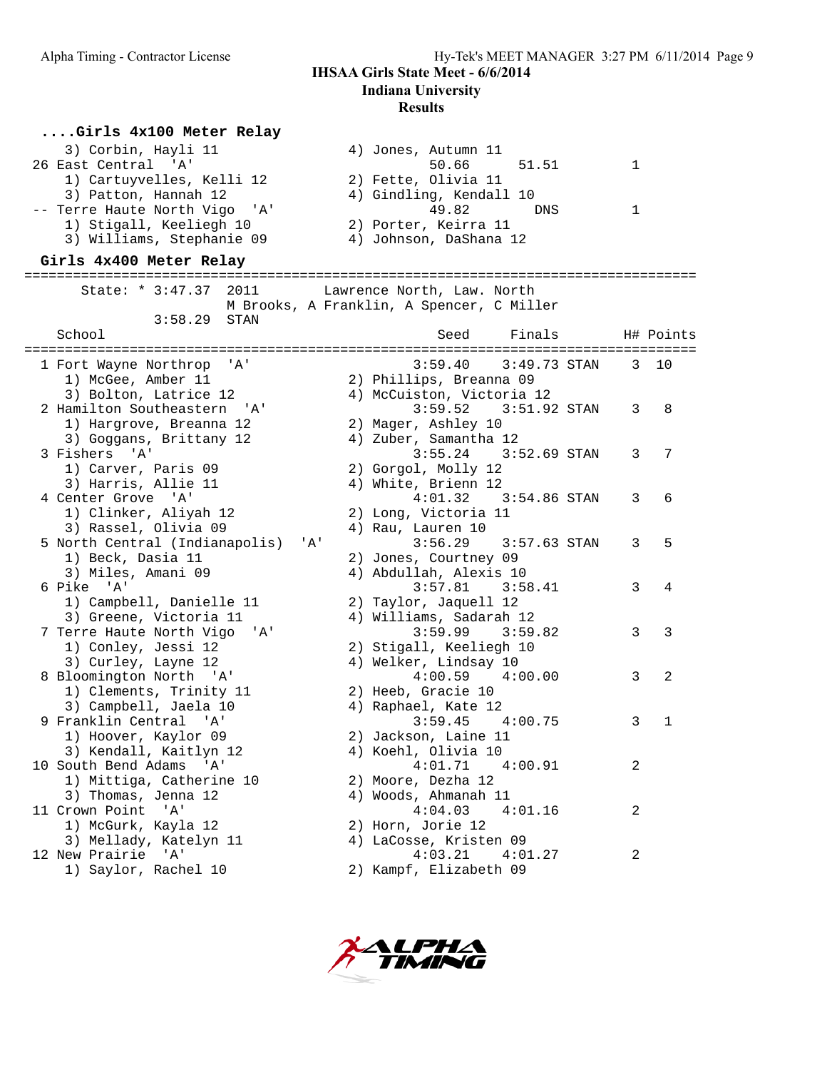#### **....Girls 4x100 Meter Relay**

| 4) Jones, Autumn 11     |  |
|-------------------------|--|
| 50.66 51.51             |  |
| 2) Fette, Olivia 11     |  |
| 4) Gindling, Kendall 10 |  |
| 49.82<br>DNS            |  |
| 2) Porter, Keirra 11    |  |
| 4) Johnson, DaShana 12  |  |
|                         |  |

#### **Girls 4x400 Meter Relay**

=================================================================================== State: \* 3:47.37 2011 Lawrence North, Law. North M Brooks, A Franklin, A Spencer, C Miller 3:58.29 STAN School School Seed Finals H# Points =================================================================================== 1 Fort Wayne Northrop 'A' 3:59.40 3:49.73 STAN 3 10 1) McGee, Amber 11 2) Phillips, Breanna 09 3) Bolton, Latrice 12 4) McCuiston, Victoria 12 2 Hamilton Southeastern 'A' 3:59.52 3:51.92 STAN 3 8 1) Hargrove, Breanna 12 2) Mager, Ashley 10 3) Goggans, Brittany 12 4) Zuber, Samantha 12 3 Fishers 'A' 3:55.24 3:52.69 STAN 3 7 1) Carver, Paris 09 2) Gorgol, Molly 12 3) Harris, Allie 11 (4) White, Brienn 12 4 Center Grove 'A' 4:01.32 3:54.86 STAN 3 6 1) Clinker, Aliyah 12 2) Long, Victoria 11 3) Rassel, Olivia 09 (4) Rau, Lauren 10 5 North Central (Indianapolis) 'A' 3:56.29 3:57.63 STAN 3 5 1) Beck, Dasia 11 2) Jones, Courtney 09 3) Miles, Amani 09 4) Abdullah, Alexis 10 6 Pike 'A' 3:57.81 3:58.41 3 4 1) Campbell, Danielle 11 2) Taylor, Jaquell 12 3) Greene, Victoria 11 4) Williams, Sadarah 12 7 Terre Haute North Vigo 'A' 3:59.99 3:59.82 3 3 1) Conley, Jessi 12 2) Stigall, Keeliegh 10 3) Curley, Layne 12 4) Welker, Lindsay 10 8 Bloomington North 'A' 4:00.59 4:00.00 3 2 1) Clements, Trinity 11 (2) Heeb, Gracie 10 3) Campbell, Jaela 10  $\hskip1cm \hskip1cm 4$ ) Raphael, Kate 12 9 Franklin Central 'A' 3:59.45 4:00.75 3 1 1) Hoover, Kaylor 09 2) Jackson, Laine 11 3) Kendall, Kaitlyn 12 4) Koehl, Olivia 10 10 South Bend Adams 'A' 4:01.71 4:00.91 2 1) Mittiga, Catherine 10 2) Moore, Dezha 12 3) Thomas, Jenna 12  $\hskip1cm {4}$  4) Woods, Ahmanah 11 11 Crown Point 'A' 4:04.03 4:01.16 2 1) McGurk, Kayla 12 2) Horn, Jorie 12 3) Mellady, Katelyn 11 4) LaCosse, Kristen 09 12 New Prairie 'A' 4:03.21 4:01.27 2 1) Saylor, Rachel 10 2) Kampf, Elizabeth 09

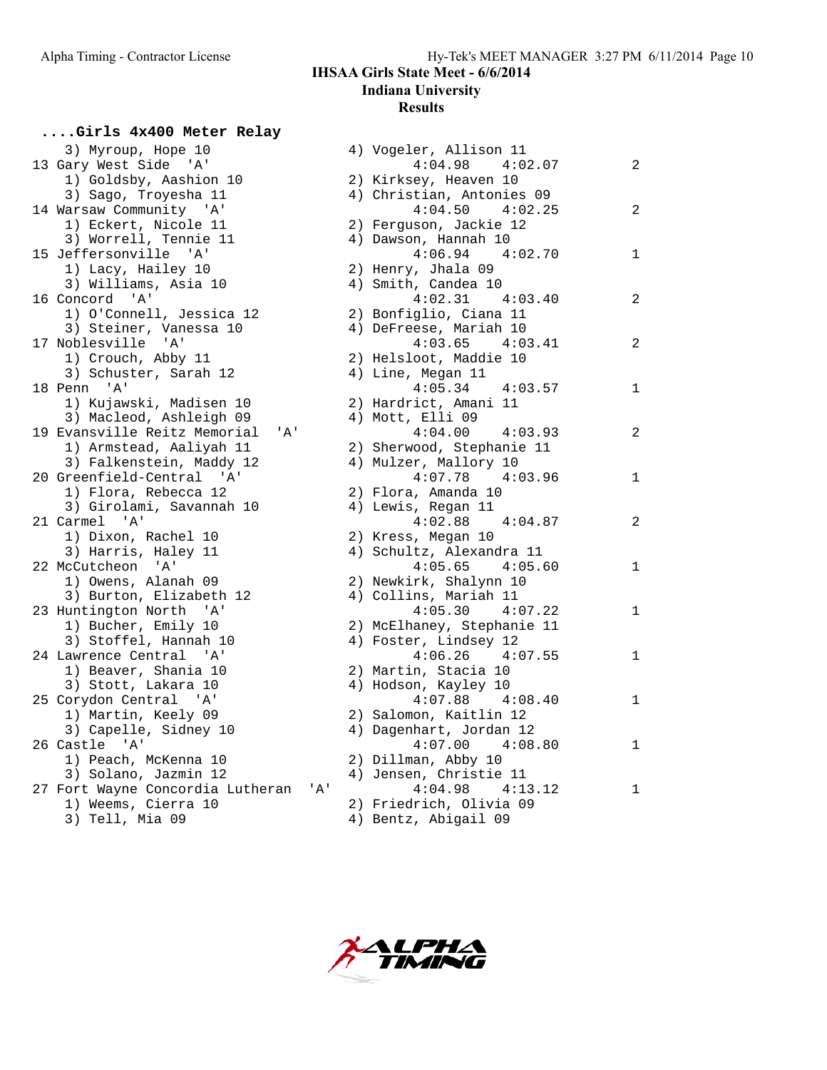**....Girls 4x400 Meter Relay**

# **IHSAA Girls State Meet - 6/6/2014**

**Indiana University**

## **Results**

| 3) Myroup, Hope 10                   |  | 4) Vogeler, Allison 11                         |
|--------------------------------------|--|------------------------------------------------|
| 13 Gary West Side 'A'                |  | $4:04.98$ $4:02.07$                            |
| 1) Goldsby, Aashion 10               |  | 2) Kirksey, Heaven 10                          |
| 3) Sago, Troyesha 11                 |  | 4) Christian, Antonies 09                      |
| 14 Warsaw Community 'A'              |  | $4:04.50$ $4:02.25$                            |
| 1) Eckert, Nicole 11                 |  | 2) Ferguson, Jackie 12                         |
| 3) Worrell, Tennie 11                |  | 4) Dawson, Hannah 10                           |
| 15 Jeffersonville 'A'                |  | $4:06.94$ $4:02.70$                            |
| 1) Lacy, Hailey 10                   |  | 2) Henry, Jhala 09                             |
| 3) Williams, Asia 10                 |  | 4) Smith, Candea 10                            |
| 16 Concord 'A'                       |  | $4:02.31$ $4:03.40$                            |
| 1) O'Connell, Jessica 12             |  | 2) Bonfiglio, Ciana 11                         |
| 3) Steiner, Vanessa 10               |  | 4) DeFreese, Mariah 10                         |
| 17 Noblesville 'A'                   |  | $4:03.65$ $4:03.41$                            |
| 1) Crouch, Abby 11                   |  | 2) Helsloot, Maddie 10                         |
| 3) Schuster, Sarah 12                |  | 4) Line, Megan 11                              |
| 18 Penn 'A'                          |  | $4:05.34$ $4:03.57$                            |
| 1) Kujawski, Madisen 10              |  | 2) Hardrict, Amani 11                          |
| 3) Macleod, Ashleigh 09              |  | 4) Mott, Elli 09                               |
| 19 Evansville Reitz Memorial<br>'A'  |  | $4:04.00$ $4:03.93$                            |
| 1) Armstead, Aaliyah 11              |  | 2) Sherwood, Stephanie 11                      |
| 3) Falkenstein, Maddy 12             |  | 4) Mulzer, Mallory 10                          |
| 20 Greenfield-Central 'A'            |  | $4:07.78$ $4:03.96$                            |
| 1) Flora, Rebecca 12                 |  | 2) Flora, Amanda 10                            |
| 3) Girolami, Savannah 10             |  |                                                |
|                                      |  | 4) Lewis, Regan 11<br>$4:02.88$ $4:04.87$      |
| 21 Carmel 'A'                        |  |                                                |
| 1) Dixon, Rachel 10                  |  | 2) Kress, Megan 10<br>4) Schultz, Alexandra 11 |
| 3) Harris, Haley 11                  |  | $4:05.65$ $4:05.60$                            |
| 22 McCutcheon 'A'                    |  |                                                |
| 1) Owens, Alanah 09                  |  | 2) Newkirk, Shalynn 10                         |
| 3) Burton, Elizabeth 12              |  | 4) Collins, Mariah 11                          |
| 23 Huntington North 'A'              |  | 4:05.30<br>4:07.22                             |
| 1) Bucher, Emily 10                  |  | 2) McElhaney, Stephanie 11                     |
| 3) Stoffel, Hannah 10                |  | 4) Foster, Lindsey 12                          |
| 24 Lawrence Central 'A'              |  | $4:06.26$ $4:07.55$                            |
| 1) Beaver, Shania 10                 |  | 2) Martin, Stacia 10                           |
| 3) Stott, Lakara 10                  |  | 4) Hodson, Kayley 10                           |
| 25 Corydon Central 'A'               |  | $4:07.88$ $4:08.40$                            |
| 1) Martin, Keely 09                  |  | 2) Salomon, Kaitlin 12                         |
| 3) Capelle, Sidney 10                |  | 4) Dagenhart, Jordan 12                        |
| 26 Castle 'A'                        |  | $4:07.00$ $4:08.80$                            |
| 1) Peach, McKenna 10                 |  | 2) Dillman, Abby 10                            |
| 3) Solano, Jazmin 12                 |  | 4) Jensen, Christie 11                         |
| 27 Fort Wayne Concordia Lutheran 'A' |  | $4:04.98$ $4:13.12$                            |
| 1) Weems, Cierra 10                  |  | 2) Friedrich, Olivia 09                        |
| 3) Tell, Mia 09                      |  | 4) Bentz, Abigail 09                           |

| 3) Myroup, Hope 10                      | 4) Vogeler, Allison 11     |                |
|-----------------------------------------|----------------------------|----------------|
| 13 Gary West Side 'A'                   | $4:04.98$ $4:02.07$        | $\overline{c}$ |
| 1) Goldsby, Aashion 10                  | 2) Kirksey, Heaven 10      |                |
| 3) Sago, Troyesha 11                    | 4) Christian, Antonies 09  |                |
| 14 Warsaw Community 'A'                 | $4:04.50$ $4:02.25$        | $\overline{c}$ |
| 1) Eckert, Nicole 11                    | 2) Ferguson, Jackie 12     |                |
| 3) Worrell, Tennie 11                   | 4) Dawson, Hannah 10       |                |
| 15 Jeffersonville 'A'                   | $4:06.94$ $4:02.70$        | 1              |
| 1) Lacy, Hailey 10                      | 2) Henry, Jhala 09         |                |
| 3) Williams, Asia 10                    | 4) Smith, Candea 10        |                |
| 16 Concord 'A'                          | 4:02.31<br>4:03.40         | 2              |
| 1) O'Connell, Jessica 12                | 2) Bonfiglio, Ciana 11     |                |
| 3) Steiner, Vanessa 10                  | 4) DeFreese, Mariah 10     |                |
| 17 Noblesville 'A'                      | $4:03.65$ $4:03.41$        | 2              |
| 1) Crouch, Abby 11                      | 2) Helsloot, Maddie 10     |                |
| 3) Schuster, Sarah 12                   | 4) Line, Megan 11          |                |
| 18 Penn 'A'                             | 4:05.34<br>4:03.57         | 1              |
| 1) Kujawski, Madisen 10                 | 2) Hardrict, Amani 11      |                |
| 3) Macleod, Ashleigh 09                 | 4) Mott, Elli 09           |                |
| 19 Evansville Reitz Memorial<br>'A'     | $4:04.00$ $4:03.93$        | $\overline{2}$ |
| 1) Armstead, Aaliyah 11                 | 2) Sherwood, Stephanie 11  |                |
| 3) Falkenstein, Maddy 12                | 4) Mulzer, Mallory 10      |                |
| 20 Greenfield-Central 'A'               | $4:07.78$ $4:03.96$        | 1              |
| 1) Flora, Rebecca 12                    | 2) Flora, Amanda 10        |                |
| 3) Girolami, Savannah 10                | 4) Lewis, Regan 11         |                |
| 21 Carmel 'A'                           | $4:02.88$ $4:04.87$        | $\overline{2}$ |
| 1) Dixon, Rachel 10                     | 2) Kress, Megan 10         |                |
| 3) Harris, Haley 11                     | 4) Schultz, Alexandra 11   |                |
| 22 McCutcheon 'A'                       | $4:05.65$ $4:05.60$        | 1              |
| 1) Owens, Alanah 09                     | 2) Newkirk, Shalynn 10     |                |
| 3) Burton, Elizabeth 12                 | 4) Collins, Mariah 11      |                |
| 23 Huntington North 'A'                 | 4:05.30<br>4:07.22         | $\mathbf 1$    |
| 1) Bucher, Emily 10                     | 2) McElhaney, Stephanie 11 |                |
| 3) Stoffel, Hannah 10                   | 4) Foster, Lindsey 12      |                |
| 24 Lawrence Central 'A'                 | $4:06.26$ $4:07.55$        | 1              |
| 1) Beaver, Shania 10                    | 2) Martin, Stacia 10       |                |
| 3) Stott, Lakara 10                     | 4) Hodson, Kayley 10       |                |
| 25 Corydon Central 'A'                  | $4:07.88$ $4:08.40$        | 1              |
| 1) Martin, Keely 09                     | 2) Salomon, Kaitlin 12     |                |
| 3) Capelle, Sidney 10                   | 4) Dagenhart, Jordan 12    |                |
| 26 Castle 'A'                           | $4:07.00$ $4:08.80$        | 1              |
| 1) Peach, McKenna 10                    | 2) Dillman, Abby 10        |                |
| 3) Solano, Jazmin 12                    | 4) Jensen, Christie 11     |                |
| 27 Fort Wayne Concordia Lutheran<br>'A' | 4:04.98<br>4:13.12         | 1              |
| 1) Weems, Cierra 10                     | 2) Friedrich, Olivia 09    |                |
| 3) Tell, Mia 09                         | 4) Bentz, Abigail 09       |                |
|                                         |                            |                |

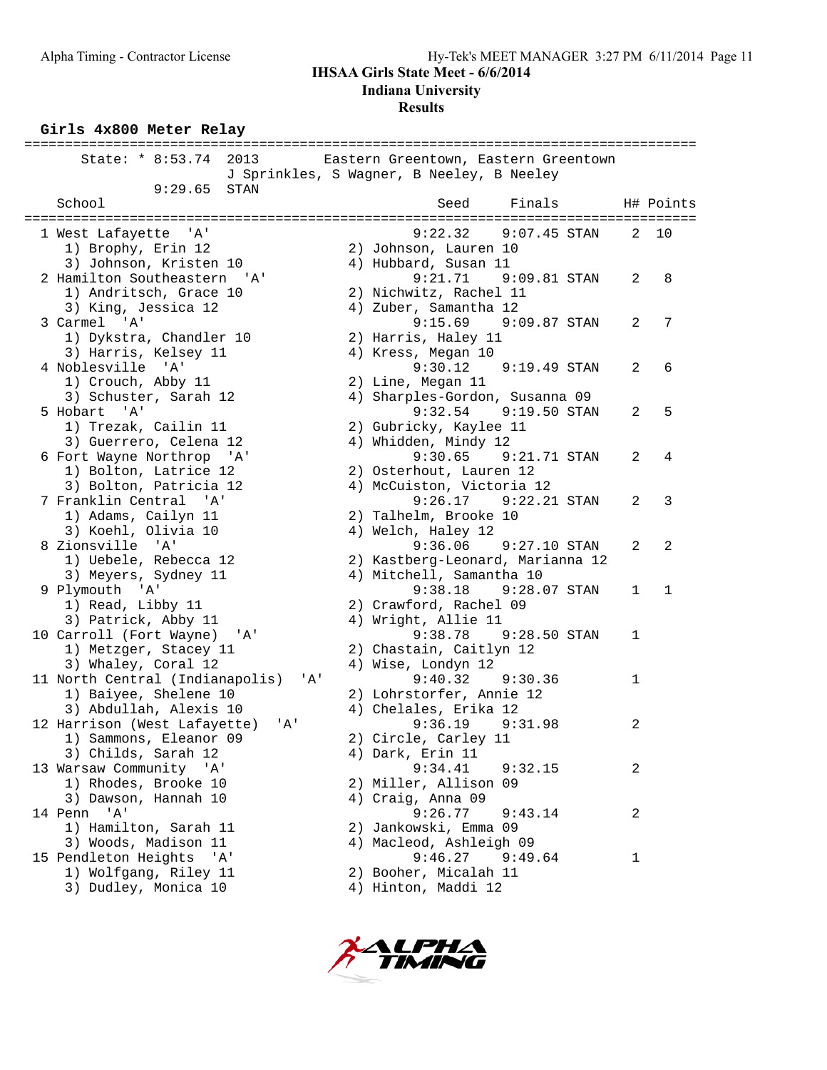#### **Results**

#### **Girls 4x800 Meter Relay**

| State: * 8:53.74 2013                  | Eastern Greentown, Eastern Greentown      |              |              |
|----------------------------------------|-------------------------------------------|--------------|--------------|
|                                        | J Sprinkles, S Wagner, B Neeley, B Neeley |              |              |
| 9:29.65<br><b>STAN</b>                 |                                           |              |              |
| School                                 | Finals<br>Seed                            |              | H# Points    |
|                                        |                                           |              |              |
| 1 West Lafayette 'A'                   | 9:22.32<br>$9:07.45$ STAN                 | 2            | 10           |
| 1) Brophy, Erin 12                     | 2) Johnson, Lauren 10                     |              |              |
| 3) Johnson, Kristen 10                 | 4) Hubbard, Susan 11                      |              |              |
| 2 Hamilton Southeastern 'A'            | 9:21.71<br>$9:09.81$ STAN                 | 2            | 8            |
| 1) Andritsch, Grace 10                 | 2) Nichwitz, Rachel 11                    |              |              |
| 3) King, Jessica 12                    | 4) Zuber, Samantha 12                     |              |              |
| 3 Carmel 'A'                           | 9:15.69 9:09.87 STAN                      | 2            | 7            |
| 1) Dykstra, Chandler 10                | 2) Harris, Haley 11                       |              |              |
| 3) Harris, Kelsey 11                   | 4) Kress, Megan 10                        |              |              |
| 4 Noblesville 'A'                      | 9:30.12<br>$9:19.49$ STAN                 | 2            | 6            |
| 1) Crouch, Abby 11                     | 2) Line, Megan 11                         |              |              |
| 3) Schuster, Sarah 12                  | 4) Sharples-Gordon, Susanna 09            |              |              |
| 5 Hobart 'A'                           | 9:32.54 9:19.50 STAN                      | 2            | 5            |
| 1) Trezak, Cailin 11                   | 2) Gubricky, Kaylee 11                    |              |              |
| 3) Guerrero, Celena 12                 | 4) Whidden, Mindy 12                      |              |              |
| 6 Fort Wayne Northrop 'A'              | 9:30.65<br>$9:21.71$ STAN                 | 2            | 4            |
| 1) Bolton, Latrice 12                  | 2) Osterhout, Lauren 12                   |              |              |
| 3) Bolton, Patricia 12                 | 4) McCuiston, Victoria 12                 |              |              |
| 7 Franklin Central 'A'                 | 9:26.17 9:22.21 STAN                      | 2            | 3            |
| 1) Adams, Cailyn 11                    | 2) Talhelm, Brooke 10                     |              |              |
| 3) Koehl, Olivia 10                    | 4) Welch, Haley 12                        |              |              |
| 8 Zionsville 'A'                       | 9:36.06<br>9:27.10 STAN                   | 2            | 2            |
| 1) Uebele, Rebecca 12                  | 2) Kastberg-Leonard, Marianna 12          |              |              |
| 3) Meyers, Sydney 11                   | 4) Mitchell, Samantha 10                  |              |              |
| 9 Plymouth 'A'                         | 9:38.18 9:28.07 STAN                      | $\mathbf{1}$ | $\mathbf{1}$ |
| 1) Read, Libby 11                      | 2) Crawford, Rachel 09                    |              |              |
| 3) Patrick, Abby 11                    | 4) Wright, Allie 11                       |              |              |
| 10 Carroll (Fort Wayne)<br>'A'         | 9:38.78<br>$9:28.50$ STAN                 | 1            |              |
| 1) Metzger, Stacey 11                  | 2) Chastain, Caitlyn 12                   |              |              |
| 3) Whaley, Coral 12                    | 4) Wise, Londyn 12                        |              |              |
| 11 North Central (Indianapolis)<br>'A' | 9:40.32<br>9:30.36                        | 1            |              |
| 1) Baiyee, Shelene 10                  | 2) Lohrstorfer, Annie 12                  |              |              |
| 3) Abdullah, Alexis 10                 | 4) Chelales, Erika 12                     |              |              |
| 12 Harrison (West Lafayette)<br>'A'    | 9:36.19<br>9:31.98                        | 2            |              |
| 1) Sammons, Eleanor 09                 | 2) Circle, Carley 11                      |              |              |
| 3) Childs, Sarah 12                    | 4) Dark, Erin 11                          |              |              |
| 13 Warsaw Community 'A'                | 9:34.41<br>9:32.15                        | 2            |              |
| 1) Rhodes, Brooke 10                   | 2) Miller, Allison 09                     |              |              |
| 3) Dawson, Hannah 10                   | 4) Craig, Anna 09                         |              |              |
| 14 Penn 'A'                            | 9:26.77<br>9:43.14                        | 2            |              |
| 1) Hamilton, Sarah 11                  | 2) Jankowski, Emma 09                     |              |              |
| 3) Woods, Madison 11                   | 4) Macleod, Ashleigh 09                   |              |              |
| 15 Pendleton Heights 'A'               | 9:46.27<br>9:49.64                        | 1            |              |
| 1) Wolfgang, Riley 11                  | 2) Booher, Micalah 11                     |              |              |
| 3) Dudley, Monica 10                   | 4) Hinton, Maddi 12                       |              |              |
|                                        |                                           |              |              |

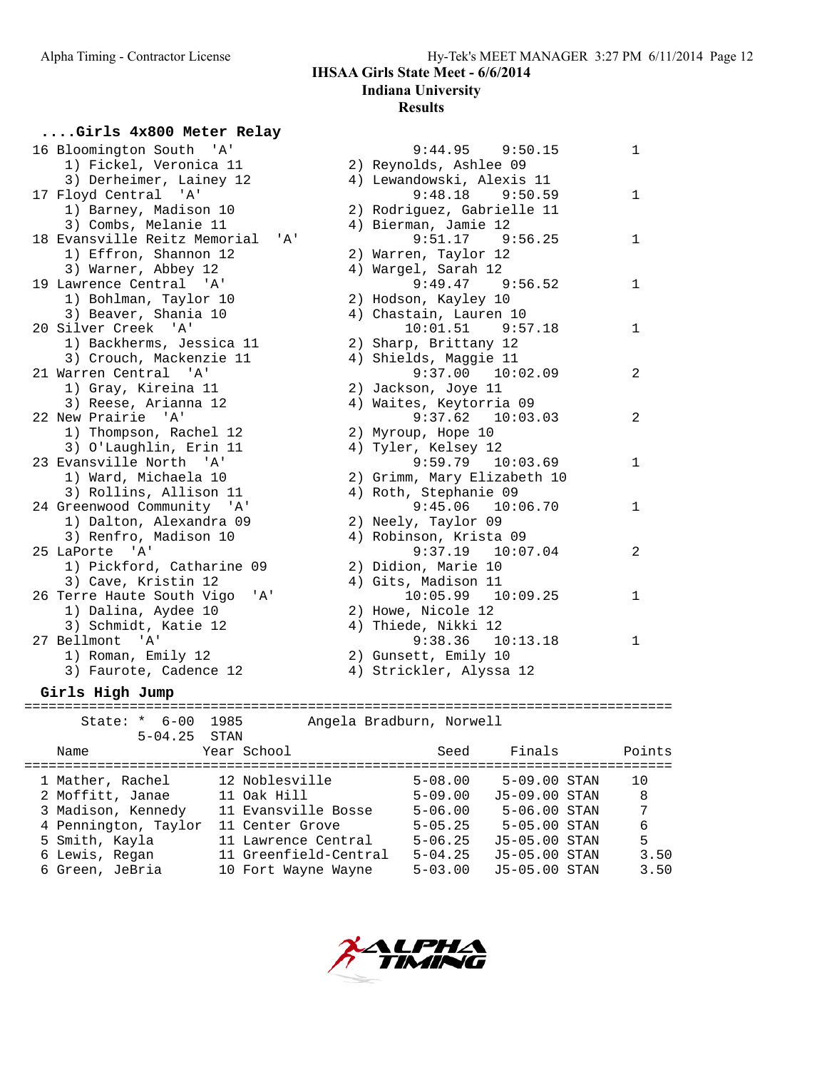# **Indiana University Results**

**....Girls 4x800 Meter Relay**

| 16 Bloomington South 'A'                 | $9:44.95$ $9:50.15$         |
|------------------------------------------|-----------------------------|
| 1) Fickel, Veronica 11                   | 2) Reynolds, Ashlee 09      |
| 3) Derheimer, Lainey 12                  | 4) Lewandowski, Alexis 11   |
| 17 Floyd Central 'A'                     | $9:48.18$ $9:50.59$         |
| 1) Barney, Madison 10                    | 2) Rodriguez, Gabrielle 11  |
| 3) Combs, Melanie 11                     | 4) Bierman, Jamie 12        |
| 18 Evansville Reitz Memorial<br>' A'     | $9:51.17$ $9:56.25$         |
| 1) Effron, Shannon 12                    | 2) Warren, Taylor 12        |
| 3) Warner, Abbey 12                      | 4) Wargel, Sarah 12         |
| 19 Lawrence Central 'A'                  | $9:49.47$ $9:56.52$         |
| 1) Bohlman, Taylor 10                    | 2) Hodson, Kayley 10        |
| 3) Beaver, Shania 10                     | 4) Chastain, Lauren 10      |
| 20 Silver Creek 'A'                      | $10:01.51$ 9:57.18          |
| 1) Backherms, Jessica 11                 | 2) Sharp, Brittany 12       |
| 3) Crouch, Mackenzie 11                  | 4) Shields, Maggie 11       |
| 21 Warren Central 'A'                    | $9:37.00$ $10:02.09$        |
| 1) Gray, Kireina 11                      | 2) Jackson, Joye 11         |
| 3) Reese, Arianna 12                     | 4) Waites, Keytorria 09     |
| 22 New Prairie 'A'                       | $9:37.62$ 10:03.03          |
| 1) Thompson, Rachel 12                   | 2) Myroup, Hope 10          |
| 3) O'Laughlin, Erin 11                   | 4) Tyler, Kelsey 12         |
| 23 Evansville North 'A'                  | $9:59.79$ $10:03.69$        |
| 1) Ward, Michaela 10                     | 2) Grimm, Mary Elizabeth 10 |
| 3) Rollins, Allison 11                   | 4) Roth, Stephanie 09       |
| 24 Greenwood Community 'A'               | $9:45.06$ 10:06.70          |
| 1) Dalton, Alexandra 09                  | 2) Neely, Taylor 09         |
| 3) Renfro, Madison 10                    | 4) Robinson, Krista 09      |
| 25 LaPorte 'A'                           | $9:37.19$ $10:07.04$        |
| 1) Pickford, Catharine 09                | 2) Didion, Marie 10         |
| 3) Cave, Kristin 12                      | 4) Gits, Madison 11         |
| 26 Terre Haute South Vigo<br>'A'         | $10:05.99$ $10:09.25$       |
| 1) Dalina, Aydee 10                      | 2) Howe, Nicole 12          |
| 3) Schmidt, Katie 12                     | 4) Thiede, Nikki 12         |
| 27 Bellmont<br>$^{\prime}$ A $^{\prime}$ | $9:38.36$ $10:13.18$        |
| 1) Roman, Emily 12                       | 2) Gunsett, Emily 10        |
| 3) Faurote, Cadence 12                   | 4) Strickler, Alyssa 12     |
|                                          |                             |

| 16 Bloomington South 'A'                | $9:44.95$ $9:50.15$                         | $\mathbf 1$  |
|-----------------------------------------|---------------------------------------------|--------------|
| 1) Fickel, Veronica 11                  | 2) Reynolds, Ashlee 09                      |              |
| 3) Derheimer, Lainey 12                 | 4) Lewandowski, Alexis 11                   |              |
| 17 Floyd Central 'A'                    | $9:48.18$ $9:50.59$                         | 1            |
| 1) Barney, Madison 10                   | 2) Rodriguez, Gabrielle 11                  |              |
| 3) Combs, Melanie 11                    | 4) Bierman, Jamie 12                        |              |
| 18 Evansville Reitz Memorial<br>'A'     | $9:51.17$ $9:56.25$                         | 1            |
| 1) Effron, Shannon 12                   | 2) Warren, Taylor 12                        |              |
| 3) Warner, Abbey 12                     | 4) Wargel, Sarah 12                         |              |
| 19 Lawrence Central 'A'                 | $9:49.47$ $9:56.52$                         | 1            |
| 1) Bohlman, Taylor 10                   | 2) Hodson, Kayley 10                        |              |
| 3) Beaver, Shania 10                    | 4) Chastain, Lauren 10                      |              |
| 20 Silver Creek 'A'                     | $10:01.51$ 9:57.18                          | $\mathbf{1}$ |
| 1) Backherms, Jessica 11                | 2) Sharp, Brittany 12                       |              |
| 3) Crouch, Mackenzie 11                 | 4) Shields, Maggie 11                       |              |
| 21 Warren Central 'A'                   | $9:37.00$ $10:02.09$                        | 2            |
| 1) Gray, Kireina 11                     | 2) Jackson, Joye 11                         |              |
| 3) Reese, Arianna 12                    | 4) Waites, Keytorria 09                     |              |
| 22 New Prairie 'A'                      | $9:37.62$ 10:03.03                          | 2            |
| 1) Thompson, Rachel 12                  | 2) Myroup, Hope 10                          |              |
| 3) O'Laughlin, Erin 11                  | 4) Tyler, Kelsey 12                         |              |
| 23 Evansville North 'A'                 | $9:59.79$ 10:03.69                          | 1            |
| 1) Ward, Michaela 10                    | 2) Grimm, Mary Elizabeth 10                 |              |
| 3) Rollins, Allison 11                  | 4) Roth, Stephanie 09                       |              |
| 24 Greenwood Community 'A'              | $9:45.06$ 10:06.70                          | 1            |
| 1) Dalton, Alexandra 09                 | 2) Neely, Taylor 09                         |              |
| 3) Renfro, Madison 10                   | 4) Robinson, Krista 09                      |              |
| 25 LaPorte 'A'                          | $9:37.19$ $10:07.04$                        | 2            |
| 1) Pickford, Catharine 09               | 2) Didion, Marie 10                         |              |
| 3) Cave, Kristin 12                     | 4) Gits, Madison 11                         |              |
| 26 Terre Haute South Vigo<br>' A '      | $10:05.99$ $10:09.25$                       | 1            |
| 1) Dalina, Aydee 10                     | 2) Howe, Nicole 12                          |              |
| 3) Schmidt, Katie 12<br>27 Bellmont 'A' | 4) Thiede, Nikki 12<br>$9:38.36$ $10:13.18$ |              |
|                                         |                                             | 1            |
| 1) Roman, Emily 12                      | 2) Gunsett, Emily 10                        |              |
| 3) Faurote, Cadence 12                  | 4) Strickler, Alyssa 12                     |              |

**Girls High Jump**

| $State: * 6-00$<br>$5 - 04.25$ | 1985<br>STAN |                       | Angela Bradburn, Norwell |                  |        |
|--------------------------------|--------------|-----------------------|--------------------------|------------------|--------|
| Name                           |              | Year School           | Seed                     | Finals           | Points |
|                                |              |                       |                          |                  |        |
| 1 Mather, Rachel               |              | 12 Noblesville        | $5 - 08.00$              | $5-09.00$ STAN   | 10     |
| 2 Moffitt, Janae               |              | 11 Oak Hill           | $5 - 09.00$              | J5-09.00 STAN    | 8      |
| 3 Madison, Kennedy             |              | 11 Evansville Bosse   | $5 - 06.00$              | $5 - 06.00$ STAN | 7      |
| 4 Pennington, Taylor           |              | 11 Center Grove       | $5 - 05.25$              | $5 - 05.00$ STAN | 6      |
| 5 Smith, Kayla                 |              | 11 Lawrence Central   | $5 - 06.25$              | J5-05.00 STAN    | 5      |
| 6 Lewis, Regan                 |              | 11 Greenfield-Central | $5 - 04.25$              | J5-05.00 STAN    | 3.50   |
| 6 Green, JeBria                |              | 10 Fort Wayne Wayne   | $5 - 03.00$              | J5-05.00 STAN    | 3.50   |
|                                |              |                       |                          |                  |        |

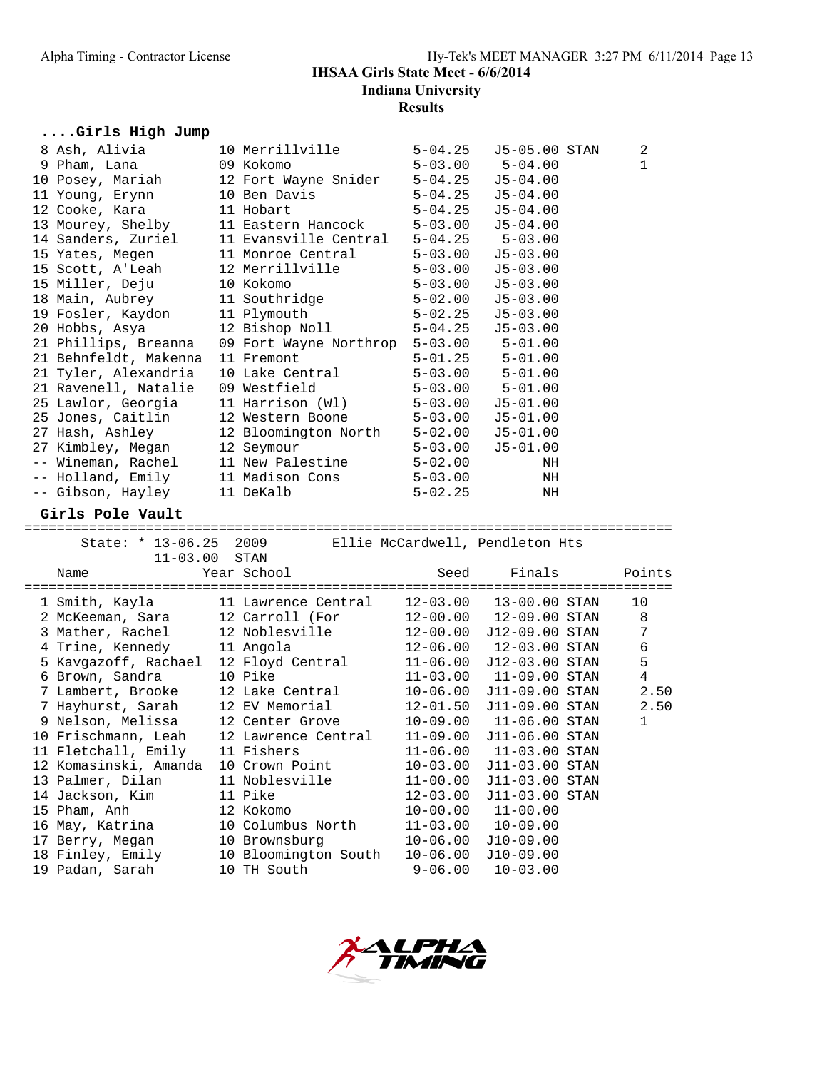## Alpha Timing - Contractor License Hy-Tek's MEET MANAGER 3:27 PM 6/11/2014 Page 13 **IHSAA Girls State Meet - 6/6/2014 Indiana University Results**

# **....Girls High Jump**

| 8 Ash, Alivia                                                             | 10 Merrillville                     | $5 - 04.25$                  | J5-05.00 STAN                   | 2              |
|---------------------------------------------------------------------------|-------------------------------------|------------------------------|---------------------------------|----------------|
| 9 Pham, Lana                                                              | 09 Kokomo                           | $5 - 03.00$                  | $5 - 04.00$                     | 1              |
| 10 Posey, Mariah                                                          | 12 Fort Wayne Snider 5-04.25        |                              | $J5-04.00$                      |                |
| 11 Young, Erynn                                                           | 10 Ben Davis                        | $5 - 04.25$                  | $J5-04.00$                      |                |
| 12 Cooke, Kara                                                            | 11 Hobart                           | $5 - 04.25$                  | $J5 - 04.00$                    |                |
| 13 Mourey, Shelby                                                         | 11 Eastern Hancock                  | $5 - 03.00$                  | $J5 - 04.00$                    |                |
| 14 Sanders, Zuriel                                                        | 11 Evansville Central               |                              | $5-04.25$ $5-03.00$             |                |
| 15 Yates, Megen                                                           | 11 Monroe Central                   | 5-03.00                      | $J5 - 03.00$                    |                |
| 15 Scott, A'Leah                                                          | 12 Merrillville                     | $5 - 03.00$                  | $J5 - 03.00$                    |                |
| 15 Miller, Deju                                                           | 10 Kokomo                           | $5 - 03.00$                  | $J5 - 03.00$                    |                |
| 18 Main, Aubrey                                                           | 11 Southridge                       | $5 - 02.00$                  | $J5 - 03.00$                    |                |
| 19 Fosler, Kaydon                                                         | 11 Plymouth                         | $5 - 02.25$                  | $J5 - 03.00$                    |                |
| 20 Hobbs, Asya                                                            | 12 Bishop Noll                      | 5-04.25                      | $J5 - 03.00$                    |                |
| 21 Phillips, Breanna                                                      | 09 Fort Wayne Northrop 5-03.00      |                              | $5 - 01.00$                     |                |
| 21 Behnfeldt, Makenna                                                     | 11 Fremont                          | $5 - 01.25$                  | $5 - 01.00$                     |                |
| 21 Tyler, Alexandria                                                      | 10 Lake Central                     | 5-03.00                      | $5 - 01.00$                     |                |
| 21 Ravenell, Natalie                                                      | 09 Westfield                        |                              | $5-03.00$ $5-01.00$             |                |
| 25 Lawlor, Georgia                                                        | 11 Harrison (Wl)                    | $5 - 03.00$                  | $J5 - 01.00$                    |                |
| 25 Jones, Caitlin                                                         | 12 Western Boone                    | $5 - 03.00$                  | $J5-01.00$                      |                |
| 27 Hash, Ashley                                                           | 12 Bloomington North 5-02.00        |                              | $J5 - 01.00$                    |                |
| 27 Kimbley, Megan                                                         | 12 Seymour                          | 5-03.00                      | $J5 - 01.00$                    |                |
|                                                                           | 11 New Palestine                    |                              |                                 |                |
| -- Wineman, Rachel                                                        |                                     | $5 - 02.00$                  | NH                              |                |
| -- Holland, Emily                                                         | 11 Madison Cons                     | $5 - 03.00$                  | NH                              |                |
| -- Gibson, Hayley                                                         | 11 DeKalb                           | $5 - 02.25$                  | ΝH                              |                |
| Girls Pole Vault                                                          |                                     |                              |                                 |                |
|                                                                           |                                     |                              |                                 |                |
| State: * 13-06.25 2009                                                    |                                     |                              | Ellie McCardwell, Pendleton Hts |                |
| $11 - 03.00$ STAN                                                         |                                     |                              |                                 |                |
| Name                                                                      | Year School                         | Seed                         | Finals                          | Points         |
|                                                                           |                                     |                              |                                 |                |
| 1 Smith, Kayla                                                            | 11 Lawrence Central                 | 12-03.00                     | 13-00.00 STAN                   | 10             |
| 2 McKeeman, Sara                                                          | 12 Carroll (For                     | 12-00.00                     | 12-09.00 STAN                   | 8              |
| 3 Mather, Rachel                                                          | 12 Noblesville                      | 12-00.00                     | J12-09.00 STAN                  | 7              |
| 4 Trine, Kennedy      11 Angola<br>5 Kavgazoff, Rachael  12 Floyd Central |                                     |                              | 12-06.00  12-03.00 STAN         | $\sqrt{6}$     |
|                                                                           |                                     |                              |                                 |                |
|                                                                           |                                     |                              | 11-06.00 J12-03.00 STAN         | 5              |
| 6 Brown, Sandra                                                           | 10 Pike                             |                              | 11-03.00  11-09.00 STAN         | $\overline{4}$ |
| 7 Lambert, Brooke                                                         | 12 Lake Central                     | $10 - 06.00$                 | J11-09.00 STAN                  | 2.50           |
| 7 Hayhurst, Sarah                                                         | 12 EV Memorial                      | 12-01.50                     | J11-09.00 STAN                  | 2.50           |
| 9 Nelson, Melissa                                                         | 12 Center Grove                     |                              | 10-09.00 11-06.00 STAN          | 1              |
| 10 Frischmann, Leah                                                       | 12 Lawrence Central                 | $11 - 09.00$                 | J11-06.00 STAN                  |                |
| 11 Fletchall, Emily 11 Fishers                                            |                                     |                              | 11-06.00  11-03.00 STAN         |                |
| 12 Komasinski, Amanda                                                     | 10 Crown Point                      | $10 - 03.00$                 | J11-03.00 STAN                  |                |
| 13 Palmer, Dilan                                                          | 11 Noblesville                      | $11 - 00.00$                 | J11-03.00 STAN                  |                |
| 14 Jackson, Kim                                                           | 11 Pike                             | $12 - 03.00$                 | J11-03.00 STAN                  |                |
| 15 Pham, Anh                                                              | 12 Kokomo                           | $10 - 00.00$                 | $11 - 00.00$                    |                |
| 16 May, Katrina                                                           | 10 Columbus North                   | $11 - 03.00$                 | $10 - 09.00$                    |                |
|                                                                           | 10 Brownsburg                       |                              | J10-09.00                       |                |
| 17 Berry, Megan                                                           |                                     | $10 - 06.00$<br>$10 - 06.00$ |                                 |                |
| 18 Finley, Emily<br>19 Padan, Sarah                                       | 10 Bloomington South<br>10 TH South | $9 - 06.00$                  | $J10-09.00$<br>$10 - 03.00$     |                |

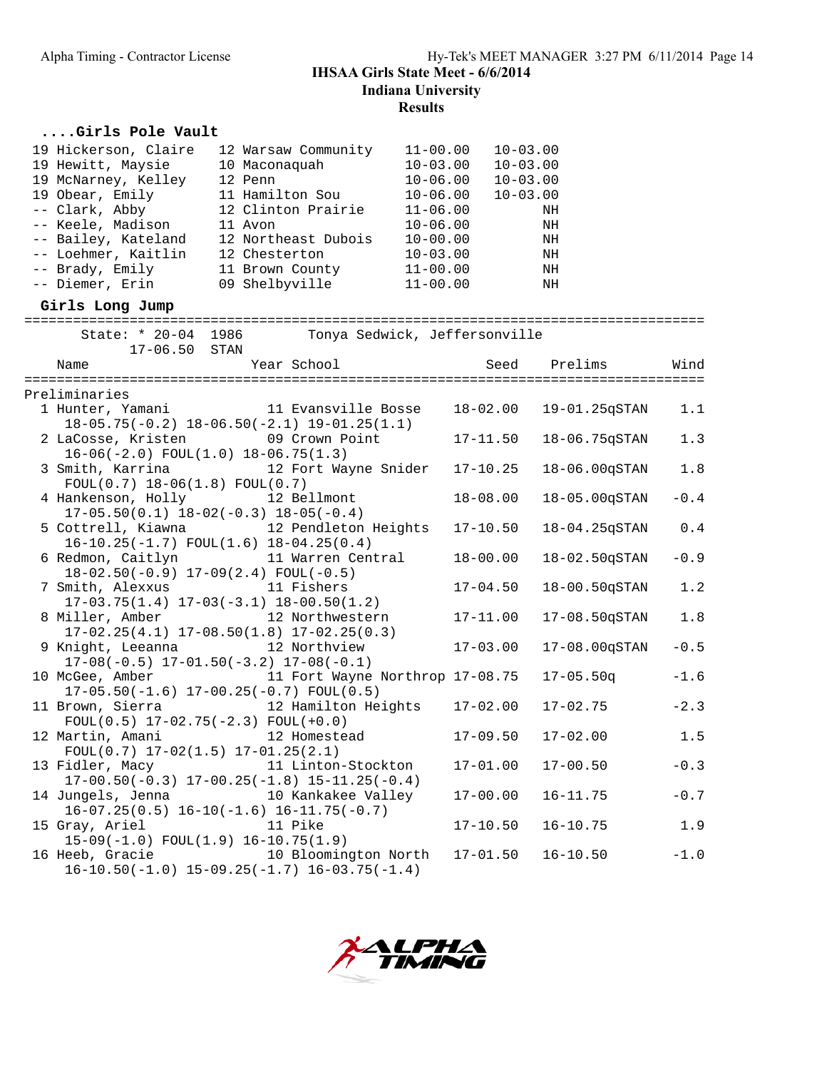## Alpha Timing - Contractor License Hy-Tek's MEET MANAGER 3:27 PM 6/11/2014 Page 14 **IHSAA Girls State Meet - 6/6/2014 Indiana University Results**

# **....Girls Pole Vault**

| 19 Hickerson, Claire<br>19 Hewitt, Maysie<br>19 McNarney, Kelley<br>19 Obear, Emily<br>-- Clark, Abby<br>-- Keele, Madison<br>-- Bailey, Kateland<br>-- Loehmer, Kaitlin 12 Chesterton<br>-- Brady, Emily<br>-- Diemer, Erin<br>Girls Long Jump | 12 Warsaw Community<br>10 Maconaquah<br>12 Penn<br>11 Hamilton Sou<br>12 Clinton Prairie<br>11 Avon<br>12 Northeast Dubois<br>11 Brown County<br>09 Shelbyville | $11 - 00.00$<br>$10 - 03.00$<br>$10 - 06.00$<br>$10 - 06.00$<br>$11 - 06.00$<br>$10 - 06.00$<br>$10 - 00.00$<br>$10 - 03.00$<br>$11 - 00.00$<br>$11 - 00.00$ | $10 - 03.00$<br>$10 - 03.00$<br>$10 - 03.00$<br>$10 - 03.00$<br>NH<br>NH<br>NH<br>NH<br>NH<br>NH |         |
|-------------------------------------------------------------------------------------------------------------------------------------------------------------------------------------------------------------------------------------------------|-----------------------------------------------------------------------------------------------------------------------------------------------------------------|--------------------------------------------------------------------------------------------------------------------------------------------------------------|--------------------------------------------------------------------------------------------------|---------|
| 17-06.50 STAN                                                                                                                                                                                                                                   | State: * 20-04 1986 Tonya Sedwick, Jeffersonville                                                                                                               |                                                                                                                                                              |                                                                                                  |         |
| Name                                                                                                                                                                                                                                            | Year School                                                                                                                                                     |                                                                                                                                                              | Seed<br>Prelims                                                                                  | Wind    |
| Preliminaries                                                                                                                                                                                                                                   |                                                                                                                                                                 |                                                                                                                                                              |                                                                                                  |         |
|                                                                                                                                                                                                                                                 | 1 Hunter, Yamani 11 Evansville Bosse<br>$18-05.75(-0.2)$ $18-06.50(-2.1)$ $19-01.25(1.1)$                                                                       | $18 - 02.00$                                                                                                                                                 | 19-01.25qSTAN                                                                                    | 1.1     |
| 2 LaCosse, Kristen 69 Crown Point<br>$16-06(-2.0)$ FOUL $(1.0)$ $18-06.75(1.3)$                                                                                                                                                                 |                                                                                                                                                                 | $17 - 11.50$                                                                                                                                                 | 18-06.75qSTAN                                                                                    | 1.3     |
| $FOUL(0.7) 18-06(1.8) FOUL(0.7)$                                                                                                                                                                                                                | 3 Smith, Karrina 12 Fort Wayne Snider                                                                                                                           | $17 - 10.25$                                                                                                                                                 | 18-06.00qSTAN                                                                                    | $1.8\,$ |
| 4 Hankenson, Holly 12 Bellmont<br>$17-05.50(0.1)$ $18-02(-0.3)$ $18-05(-0.4)$                                                                                                                                                                   |                                                                                                                                                                 | $18 - 08.00$                                                                                                                                                 | 18-05.00qSTAN                                                                                    | $-0.4$  |
| $16-10.25(-1.7)$ FOUL $(1.6)$ $18-04.25(0.4)$                                                                                                                                                                                                   | 5 Cottrell, Kiawna 12 Pendleton Heights                                                                                                                         | $17 - 10.50$                                                                                                                                                 | 18-04.25qSTAN                                                                                    | $0.4$   |
| $18-02.50(-0.9)$ $17-09(2.4)$ FOUL(-0.5)                                                                                                                                                                                                        | 6 Redmon, Caitlyn 11 Warren Central                                                                                                                             | $18 - 00.00$                                                                                                                                                 | 18-02.50qSTAN                                                                                    | $-0.9$  |
| 7 Smith, Alexxus 11 Fishers                                                                                                                                                                                                                     | $17-03.75(1.4)$ $17-03(-3.1)$ $18-00.50(1.2)$                                                                                                                   | $17 - 04.50$                                                                                                                                                 | 18-00.50qSTAN                                                                                    | 1.2     |
|                                                                                                                                                                                                                                                 | 8 Miller, Amber 12 Northwestern<br>$17-02.25(4.1)$ $17-08.50(1.8)$ $17-02.25(0.3)$                                                                              | $17 - 11.00$                                                                                                                                                 | 17-08.50qSTAN                                                                                    | 1.8     |
| 9 Knight, Leeanna 12 Northview<br>$17-08(-0.5)$ $17-01.50(-3.2)$ $17-08(-0.1)$                                                                                                                                                                  |                                                                                                                                                                 | $17 - 03.00$                                                                                                                                                 | 17-08.00qSTAN                                                                                    | $-0.5$  |
|                                                                                                                                                                                                                                                 | 10 McGee, Amber 11 Fort Wayne Northrop 17-08.75<br>$17-05.50(-1.6) 17-00.25(-0.7) F0UL(0.5)$                                                                    |                                                                                                                                                              | $17 - 05.50q$                                                                                    | $-1.6$  |
| 11 Brown, Sierra<br>$FOUL(0.5) 17-02.75(-2.3) FOUL(+0.0)$                                                                                                                                                                                       | 12 Hamilton Heights 17-02.00                                                                                                                                    |                                                                                                                                                              | $17 - 02.75$                                                                                     | $-2.3$  |
| 12 Martin, Amani<br>$FOUL(0.7) 17-02(1.5) 17-01.25(2.1)$                                                                                                                                                                                        | 12 Homestead                                                                                                                                                    | 17-09.50                                                                                                                                                     | $17 - 02.00$                                                                                     | 1.5     |
| 13 Fidler, Macy                                                                                                                                                                                                                                 | 11 Linton-Stockton<br>$17-00.50(-0.3)$ $17-00.25(-1.8)$ $15-11.25(-0.4)$                                                                                        | $17 - 01.00$                                                                                                                                                 | $17 - 00.50$                                                                                     | $-0.3$  |
| 14 Jungels, Jenna                                                                                                                                                                                                                               | 10 Kankakee Valley<br>$16-07.25(0.5)$ $16-10(-1.6)$ $16-11.75(-0.7)$                                                                                            | $17 - 00.00$                                                                                                                                                 | $16 - 11.75$                                                                                     | $-0.7$  |
| 15 Gray, Ariel<br>$15-09(-1.0)$ FOUL $(1.9)$ 16-10.75 $(1.9)$                                                                                                                                                                                   | 11 Pike                                                                                                                                                         | $17 - 10.50$                                                                                                                                                 | $16 - 10.75$                                                                                     | 1.9     |
| 16 Heeb, Gracie                                                                                                                                                                                                                                 | 10 Bloomington North<br>$16-10.50(-1.0) 15-09.25(-1.7) 16-03.75(-1.4)$                                                                                          | $17 - 01.50$                                                                                                                                                 | $16 - 10.50$                                                                                     | $-1.0$  |

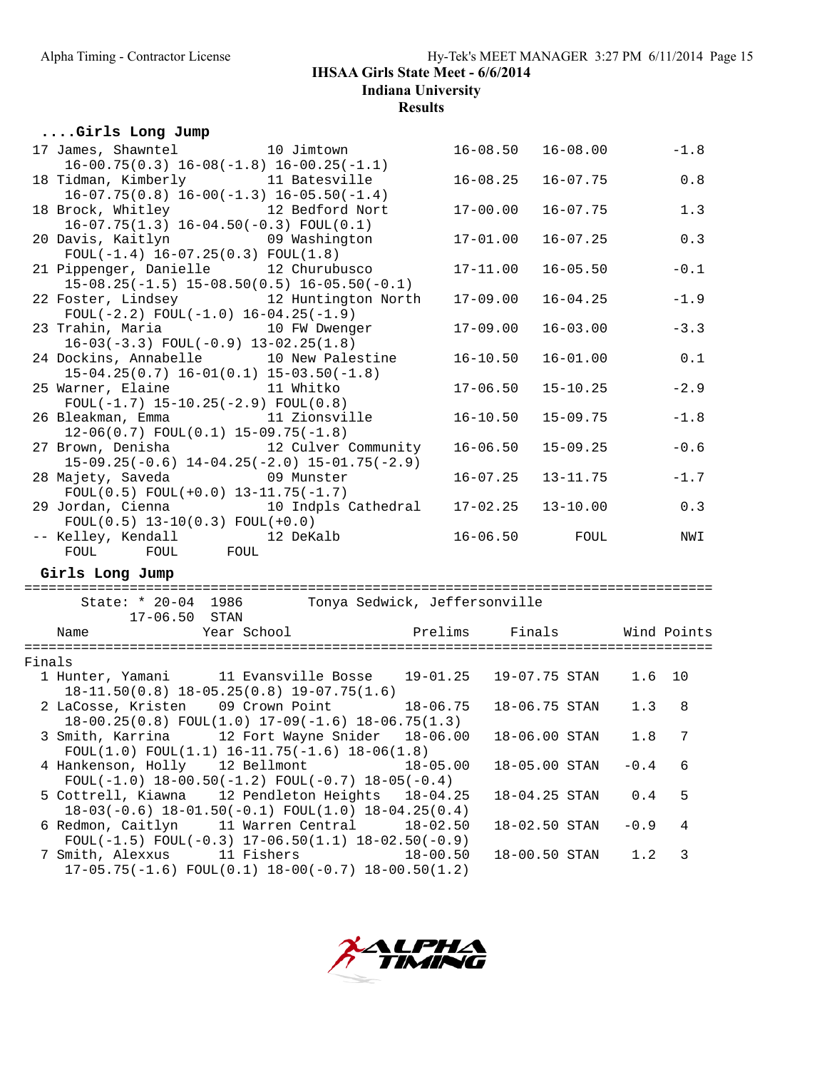#### **....Girls Long Jump**

|        | 17 James, Shawntel 10 Jimtown                                                                             | $16 - 08.50$ | 16-08.00      |                                                   | $-1.8$      |
|--------|-----------------------------------------------------------------------------------------------------------|--------------|---------------|---------------------------------------------------|-------------|
|        | $16-00.75(0.3) 16-08(-1.8) 16-00.25(-1.1)$<br>18 Tidman, Kimberly 11 Batesville                           | $16 - 08.25$ | $16 - 07.75$  |                                                   | 0.8         |
|        | $16-07.75(0.8) 16-00(-1.3) 16-05.50(-1.4)$                                                                |              |               |                                                   |             |
|        | 18 Brock, Whitley 12 Bedford Nort                                                                         | $17 - 00.00$ | $16 - 07.75$  |                                                   | 1.3         |
|        | $16-07.75(1.3) 16-04.50(-0.3) F0UL(0.1)$<br>20 Davis, Kaitlyn 19 Washington                               | $17 - 01.00$ | $16 - 07.25$  |                                                   | 0.3         |
|        | $FOUL(-1.4) 16-07.25(0.3) FOUL(1.8)$                                                                      |              |               |                                                   |             |
|        | 12 Churubusco<br>21 Pippenger, Danielle<br>$15-08.25(-1.5)$ $15-08.50(0.5)$ $16-05.50(-0.1)$              | $17 - 11.00$ | $16 - 05.50$  |                                                   | $-0.1$      |
|        | 22 Foster, Lindsey 12 Huntington North                                                                    | $17 - 09.00$ | $16 - 04.25$  |                                                   | $-1.9$      |
|        | $FOUL(-2.2) FOUL(-1.0) 16-04.25(-1.9)$<br>23 Trahin, Maria 10 FW Dwenger                                  | $17 - 09.00$ | $16 - 03.00$  |                                                   | $-3.3$      |
|        | $16-03(-3.3)$ FOUL $(-0.9)$ $13-02.25(1.8)$<br>24 Dockins, Annabelle 10 New Palestine                     | $16 - 10.50$ | $16 - 01.00$  |                                                   | 0.1         |
|        | $15-04.25(0.7)$ $16-01(0.1)$ $15-03.50(-1.8)$<br>25 Warner, Elaine 11 Whitko                              | $17 - 06.50$ | $15 - 10.25$  |                                                   | $-2.9$      |
|        | $FOUL(-1.7) 15-10.25(-2.9) FOUL(0.8)$<br>26 Bleakman, Emma                       11 Zionsville            | $16 - 10.50$ | $15 - 09.75$  |                                                   | $-1.8$      |
|        | $12-06(0.7)$ FOUL $(0.1)$ 15-09.75 $(-1.8)$<br>27 Brown, Denisha 12 Culver Community                      | $16 - 06.50$ | $15 - 09.25$  |                                                   | $-0.6$      |
|        | $15-09.25(-0.6)$ $14-04.25(-2.0)$ $15-01.75(-2.9)$<br>28 Majety, Saveda 69 Munster                        | $16 - 07.25$ | $13 - 11.75$  |                                                   | $-1.7$      |
|        | $FOUL(0.5) FOUL(+0.0) 13-11.75(-1.7)$<br>29 Jordan, Cienna 10 Indpls Cathedral                            | $17 - 02.25$ | $13 - 10.00$  |                                                   | 0.3         |
|        | $FOUL(0.5) 13-10(0.3) FOUL(+0.0)$<br>-- Kelley, Kendall 12 DeKalb                                         | $16 - 06.50$ | FOUL          |                                                   | NWI         |
|        | FOUL FOUL FOUL<br>Girls Long Jump                                                                         |              |               |                                                   |             |
|        |                                                                                                           |              |               |                                                   |             |
|        | State: * 20-04 1986 Tonya Sedwick, Jeffersonville<br>17-06.50 STAN                                        |              |               |                                                   |             |
|        | Year School Prelims<br>Name                                                                               |              | Finals        |                                                   | Wind Points |
| Finals |                                                                                                           |              |               |                                                   |             |
|        | 1 Hunter, Yamani 11 Evansville Bosse 19-01.25<br>$18-11.50(0.8)$ $18-05.25(0.8)$ $19-07.75(1.6)$          |              | 19-07.75 STAN | 1.6                                               | 10          |
|        | 2 LaCosse, Kristen 09 Crown Point<br>$18-00.25(0.8)$ FOUL $(1.0)$ $17-09(-1.6)$ $18-06.75(1.3)$           | $18 - 06.75$ | 18-06.75 STAN | 1.3                                               | 8           |
|        | 3 Smith, Karrina 12 Fort Wayne Snider 18-06.00<br>$FOUL(1.0) FOUL(1.1) 16-11.75(-1.6) 18-06(1.8)$         |              | 18-06.00 STAN | 1.8                                               | 7           |
|        | 4 Hankenson, Holly 12 Bellmont<br>FOUL(-1.0) $18-00.50(-1.2)$ FOUL(-0.7) $18-05(-0.4)$                    | $18 - 05.00$ | 18-05.00 STAN | $-0.4$                                            | 6           |
|        | 5 Cottrell, Kiawna<br>12 Pendleton Heights<br>$18-03(-0.6)$ $18-01.50(-0.1)$ FOUL $(1.0)$ $18-04.25(0.4)$ | $18 - 04.25$ | 18-04.25 STAN | $\ensuremath{\text{0}}$ . $\ensuremath{\text{4}}$ | 5           |
|        | 6 Redmon, Caitlyn<br>11 Warren Central<br>FOUL(-1.5) FOUL(-0.3) $17-06.50(1.1)$ $18-02.50(-0.9)$          | $18 - 02.50$ | 18-02.50 STAN | $-0.9$                                            | 4           |
|        | 7 Smith, Alexxus<br>11 Fishers<br>$17-05.75(-1.6)$ FOUL $(0.1)$ $18-00(-0.7)$ $18-00.50(1.2)$             | $18 - 00.50$ | 18-00.50 STAN | 1.2                                               | 3           |
|        |                                                                                                           |              |               |                                                   |             |

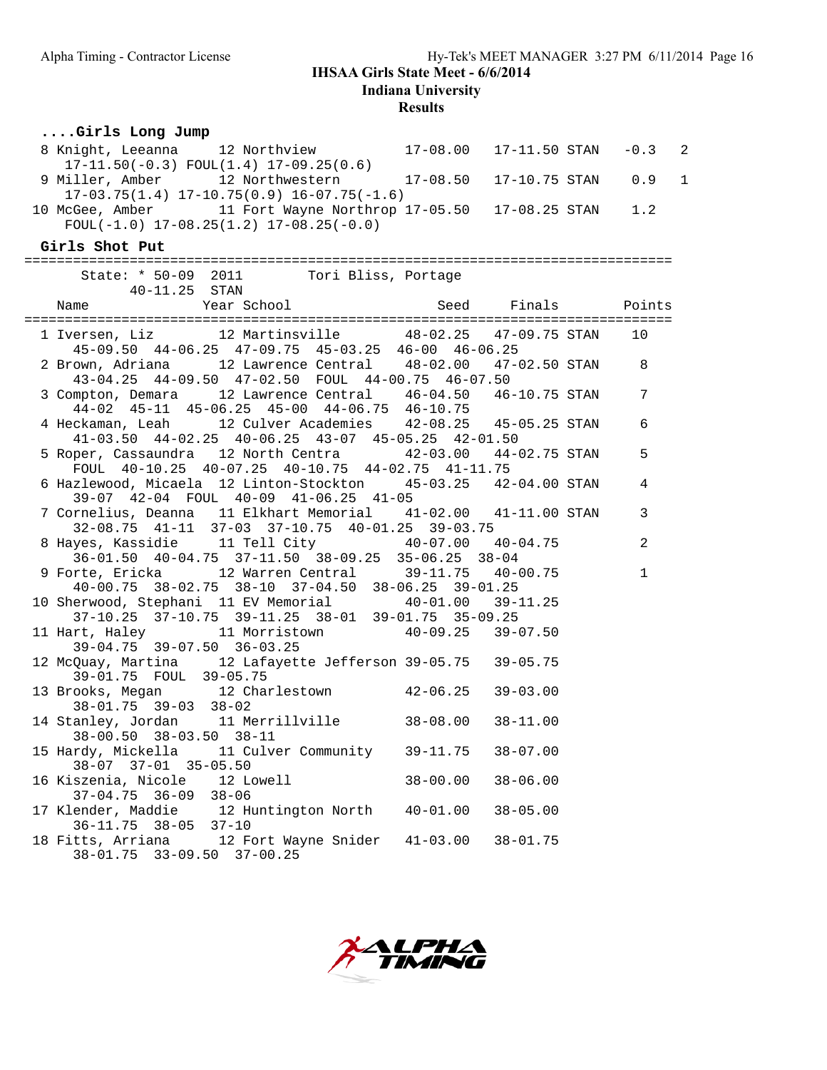**Results**

## **....Girls Long Jump**

| 8 Knight, Leeanna 12 Northview 17-08.00 17-11.50 STAN<br>17-11.50(-0.3) FOUL(1.4) 17-09.25(0.6)                         |              |                    | $-0.3$ 2     |              |
|-------------------------------------------------------------------------------------------------------------------------|--------------|--------------------|--------------|--------------|
| 9 Miller, Amber 12 Northwestern 17-08.50 17-10.75 STAN<br>$17-03.75(1.4)$ $17-10.75(0.9)$ $16-07.75(-1.6)$              |              |                    | 0.9          | $\mathbf{1}$ |
| 10 McGee, Amber 11 Fort Wayne Northrop 17-05.50 17-08.25 STAN<br>$FOUL(-1.0)$ 17-08.25(1.2) 17-08.25(-0.0)              |              |                    | 1.2          |              |
| Girls Shot Put                                                                                                          |              |                    |              |              |
| State: * 50-09 2011 Tori Bliss, Portage<br>40-11.25 STAN                                                                |              |                    |              |              |
| Year School<br>Name                                                                                                     |              | Seed Finals Points |              |              |
| 45-09.50 44-06.25 47-09.75 45-03.25 46-00 46-06.25                                                                      |              |                    |              |              |
| 12 Lawrence Central   48-02.00   47-02.50 STAN<br>2 Brown, Adriana<br>43-04.25 44-09.50 47-02.50 FOUL 44-00.75 46-07.50 |              |                    | 8            |              |
| 3 Compton, Demara 12 Lawrence Central 46-04.50 46-10.75 STAN<br>44-02 45-11 45-06.25 45-00 44-06.75 46-10.75            |              |                    | 7            |              |
| 4 Heckaman, Leah 12 Culver Academies 42-08.25 45-05.25 STAN<br>41-03.50 44-02.25 40-06.25 43-07 45-05.25 42-01.50       |              |                    | 6            |              |
| 5 Roper, Cassaundra 12 North Centra 42-03.00 44-02.75 STAN<br>FOUL 40-10.25 40-07.25 40-10.75 44-02.75 41-11.75         |              |                    | 5            |              |
| 6 Hazlewood, Micaela 12 Linton-Stockton 45-03.25 42-04.00 STAN<br>39-07 42-04 FOUL 40-09 41-06.25 41-05                 |              |                    | 4            |              |
| 7 Cornelius, Deanna 11 Elkhart Memorial 41-02.00 41-11.00 STAN<br>32-08.75 41-11 37-03 37-10.75 40-01.25 39-03.75       |              |                    | 3            |              |
| 8 Hayes, Kassidie 11 Tell City 40-07.00 40-04.75<br>36-01.50 40-04.75 37-11.50 38-09.25 35-06.25 38-04                  |              |                    | 2            |              |
| 9 Forte, Ericka 12 Warren Central 39-11.75 40-00.75<br>40-00.75 38-02.75 38-10 37-04.50 38-06.25 39-01.25               |              |                    | $\mathbf{1}$ |              |
| 10 Sherwood, Stephani 11 EV Memorial 40-01.00 39-11.25<br>37-10.25 37-10.75 39-11.25 38-01 39-01.75 35-09.25            |              |                    |              |              |
| 11 Hart, Haley 11 Morristown 40-09.25 39-07.50<br>39-04.75 39-07.50 36-03.25                                            |              |                    |              |              |
| 12 McQuay, Martina 12 Lafayette Jefferson 39-05.75 39-05.75<br>39-01.75 FOUL 39-05.75                                   |              |                    |              |              |
| 13 Brooks, Megan 12 Charlestown 42-06.25<br>$38 - 01.75$ $39 - 03$ $38 - 02$                                            |              | $39 - 03.00$       |              |              |
| 14 Stanley, Jordan 11 Merrillville 38-08.00 38-11.00<br>38-00.50 38-03.50 38-11                                         |              |                    |              |              |
| 15 Hardy, Mickella 11 Culver Community 39-11.75 38-07.00<br>38-07 37-01 35-05.50                                        |              |                    |              |              |
| 16 Kiszenia, Nicole<br>12 Lowell<br>$37 - 04.75$ $36 - 09$<br>$38 - 06$                                                 | $38 - 00.00$ | $38 - 06.00$       |              |              |
| 17 Klender, Maddie<br>12 Huntington North<br>36-11.75 38-05 37-10                                                       | $40 - 01.00$ | $38 - 05.00$       |              |              |
| 18 Fitts, Arriana 12 Fort Wayne Snider<br>38-01.75 33-09.50 37-00.25                                                    | 41-03.00     | $38 - 01.75$       |              |              |

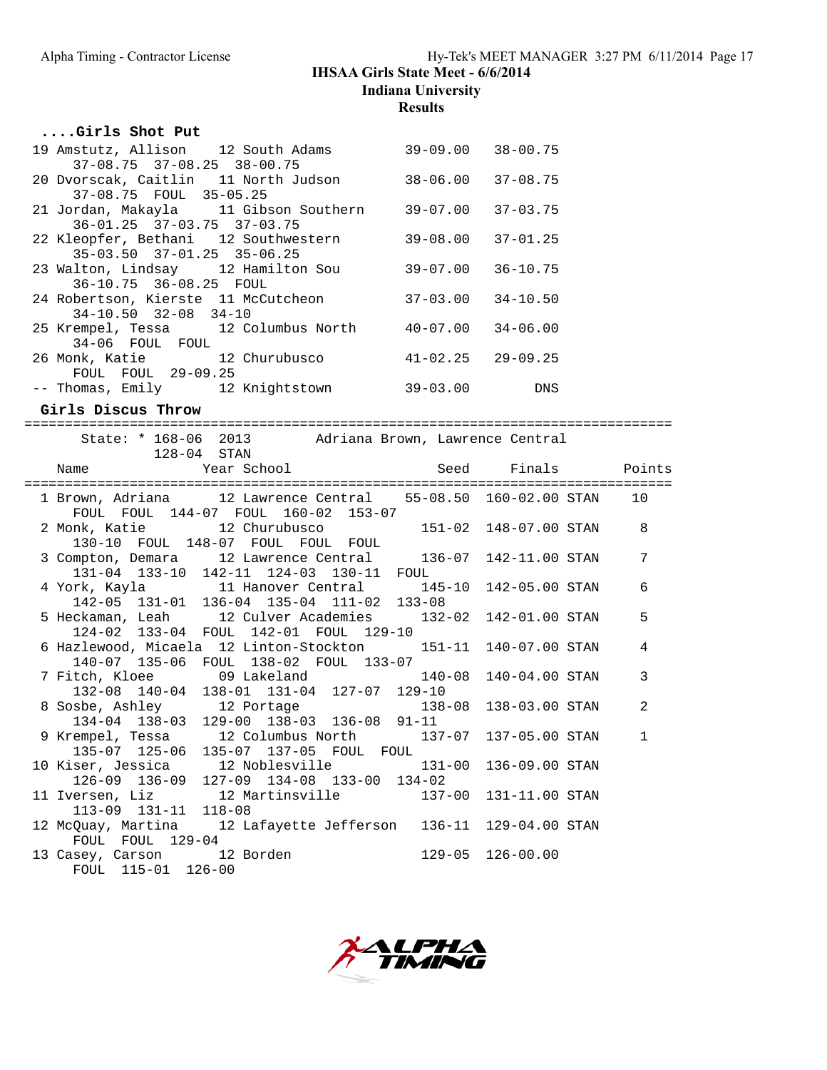# Alpha Timing - Contractor License Hy-Tek's MEET MANAGER 3:27 PM 6/11/2014 Page 17

# **IHSAA Girls State Meet - 6/6/2014**

**Indiana University**

**Results**

## **....Girls Shot Put**

| 19 Amstutz, Allison 12 South Adams     | $39 - 09.00$ | $38 - 00.75$ |
|----------------------------------------|--------------|--------------|
| $37-08.75$ $37-08.25$ $38-00.75$       |              |              |
| 20 Dvorscak, Caitlin 11 North Judson   | 38-06.00     | $37 - 08.75$ |
| 37-08.75 FOUL 35-05.25                 |              |              |
| 21 Jordan, Makayla 11 Gibson Southern  | 39-07.00     | $37 - 03.75$ |
| $36 - 01.25$ $37 - 03.75$ $37 - 03.75$ |              |              |
| 22 Kleopfer, Bethani 12 Southwestern   | 39-08.00     | $37 - 01.25$ |
| $35-03.50$ $37-01.25$ $35-06.25$       |              |              |
| 23 Walton, Lindsay 12 Hamilton Sou     | 39-07.00     | $36 - 10.75$ |
| 36-10.75 36-08.25 FOUL                 |              |              |
| 24 Robertson, Kierste 11 McCutcheon    | $37 - 03.00$ | $34 - 10.50$ |
| $34-10.50$ $32-08$ $34-10$             |              |              |
| 25 Krempel, Tessa 12 Columbus North    | 40-07.00     | $34 - 06.00$ |
| 34-06 FOUL FOUL                        |              |              |
| 26 Monk, Katie 12 Churubusco           | $41 - 02.25$ | $29 - 09.25$ |
| FOUL FOUL 29-09.25                     |              |              |
| -- Thomas, Emily 12 Knightstown        | 39-03.00     | <b>DNS</b>   |

## **Girls Discus Throw**

| State: * 168-06 2013 Adriana Brown, Lawrence Central<br>$128-04$ STAN                                  |                  |                |              |
|--------------------------------------------------------------------------------------------------------|------------------|----------------|--------------|
|                                                                                                        |                  |                |              |
| 1 Brown, Adriana 12 Lawrence Central 55-08.50 160-02.00 STAN<br>FOUL FOUL 144-07 FOUL 160-02 153-07    |                  |                | 10           |
| 2 Monk, Katie 12 Churubusco 151-02 148-07.00 STAN<br>130-10 FOUL 148-07 FOUL FOUL FOUL                 |                  |                | 8            |
| 3 Compton, Demara 12 Lawrence Central 136-07 142-11.00 STAN<br>131-04 133-10 142-11 124-03 130-11 FOUL |                  |                | 7            |
| 4 York, Kayla 11 Hanover Central 145-10 142-05.00 STAN 142-05 131-01 136-04 135-04 111-02 133-08       |                  |                | 6            |
| 5 Heckaman, Leah 12 Culver Academies 132-02 142-01.00 STAN<br>124-02 133-04 FOUL 142-01 FOUL 129-10    |                  |                | 5            |
| 6 Hazlewood, Micaela 12 Linton-Stockton 151-11 140-07.00 STAN<br>140-07 135-06 FOUL 138-02 FOUL 133-07 |                  |                | 4            |
| 7 Fitch, Kloee 69 Lakeland 140-08<br>132-08 140-04 138-01 131-04 127-07 129-10                         |                  | 140-04.00 STAN | 3            |
| 8 Sosbe, Ashley 12 Portage<br>134-04 138-03 129-00 138-03 136-08 91-11                                 | $138 - 08$       | 138-03.00 STAN | 2            |
| 9 Krempel, Tessa 12 Columbus North 137-07 137-05.00 STAN<br>135-07 125-06 135-07 137-05 FOUL FOUL      |                  |                | $\mathbf{1}$ |
| 10 Kiser, Jessica 12 Noblesville 131-00<br>126-09 136-09 127-09 134-08 133-00 134-02                   |                  | 136-09.00 STAN |              |
| 11 Iversen, Liz 12 Martinsville 137-00 131-11.00 STAN<br>$113-09$ $131-11$ $118-08$                    |                  |                |              |
| 12 McQuay, Martina 12 Lafayette Jefferson 136-11 129-04.00 STAN<br>FOUL FOUL 129-04                    |                  |                |              |
| 13 Casey, Carson 12 Borden<br>FOUL 115-01 126-00                                                       | 129-05 126-00.00 |                |              |

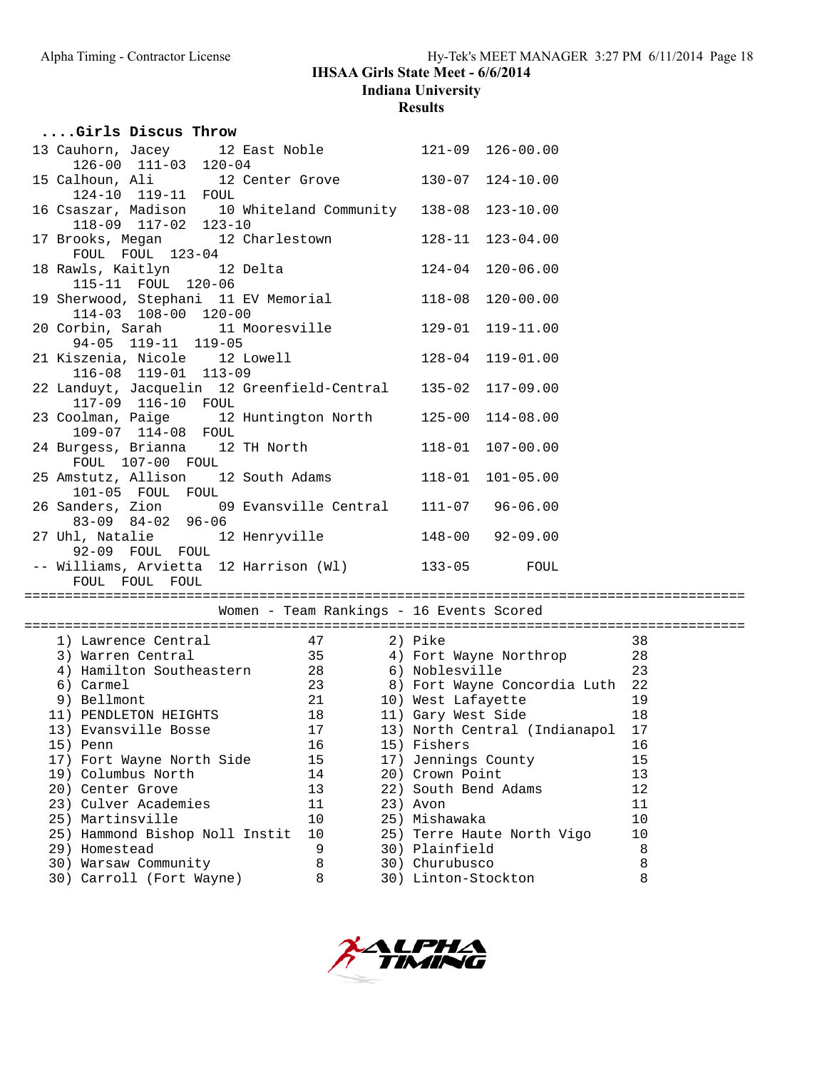| Girls Discus Throw                                                                                                                                                                                                                |                                          |                      |                                    |         |
|-----------------------------------------------------------------------------------------------------------------------------------------------------------------------------------------------------------------------------------|------------------------------------------|----------------------|------------------------------------|---------|
| 13 Cauhorn, Jacey 12 East Noble 121-09 126-00.00<br>$126-00$ $111-03$ $120-04$                                                                                                                                                    |                                          |                      |                                    |         |
| 15 Calhoun, Ali 12 Center Grove 130-07 124-10.00<br>124-10 119-11 FOUL<br>16 Csaszar, Madison 10 Whiteland Community 138-08 123-10.00                                                                                             |                                          |                      |                                    |         |
| 118-09 117-02 123-10                                                                                                                                                                                                              |                                          |                      |                                    |         |
| 17 Brooks, Megan 12 Charlestown 128-11 123-04.00<br>FOUL FOUL 123-04                                                                                                                                                              |                                          |                      |                                    |         |
| 18 Rawls, Kaitlyn 12 Delta<br>115-11 FOUL 120-06                                                                                                                                                                                  |                                          |                      | $124-04$ $120-06.00$               |         |
| 19 Sherwood, Stephani 11 EV Memorial 118-08 120-00.00<br>114-03 108-00 120-00                                                                                                                                                     |                                          |                      |                                    |         |
| 20 Corbin, Sarah 11 Mooresville 129-01 119-11.00<br>94-05 119-11 119-05                                                                                                                                                           |                                          |                      |                                    |         |
| 21 Kiszenia, Nicole 12 Lowell<br>116-08 119-01 113-09                                                                                                                                                                             |                                          |                      | $128-04$ $119-01.00$               |         |
| 22 Landuyt, Jacquelin 12 Greenfield-Central 135-02 117-09.00<br>117-09 116-10 FOUL                                                                                                                                                |                                          |                      |                                    |         |
| 23 Coolman, Paige 12 Huntington North 125-00 114-08.00<br>109-07 114-08 FOUL                                                                                                                                                      |                                          |                      |                                    |         |
| 24 Burgess, Brianna 12 TH North 118-01 107-00.00<br>FOUL 107-00 FOUL                                                                                                                                                              |                                          |                      |                                    |         |
| 25 Amstutz, Allison 12 South Adams 118-01 101-05.00<br>101-05 FOUL FOUL                                                                                                                                                           |                                          |                      |                                    |         |
| 26 Sanders, Zion 09 Evansville Central 111-07 96-06.00<br>83-09 84-02 96-06                                                                                                                                                       |                                          |                      |                                    |         |
| 27 Uhl, Natalie $12$ Henryville $148-00$ 92-09.00<br>92-09 FOUL FOUL                                                                                                                                                              |                                          |                      |                                    |         |
| -- Williams, Arvietta 12 Harrison (W1) 133-05 FOUL<br>FOUL FOUL FOUL                                                                                                                                                              |                                          |                      |                                    |         |
|                                                                                                                                                                                                                                   |                                          |                      |                                    |         |
|                                                                                                                                                                                                                                   | Women - Team Rankings - 16 Events Scored |                      |                                    |         |
|                                                                                                                                                                                                                                   |                                          |                      |                                    |         |
| 1) Lawrence Central $\begin{array}{ccc} 47 & 2) & \text{Pike} & 38 \\ 3) & \text{Warren Central} & 35 & 4) & \text{Fort Wayne Northern} & 28 \\ 4) & \text{Hamilton Southern} & 28 & 6) & \text{Noblesville} & 23 \\ \end{array}$ |                                          |                      |                                    |         |
|                                                                                                                                                                                                                                   |                                          |                      |                                    |         |
| 6) Carmel                                                                                                                                                                                                                         |                                          |                      | 23 8) Fort Wayne Concordia Luth 22 |         |
| 9) Bellmont<br>11) PENDLETON HEIGHTS<br>13) Fynnauille Peace (18) 12 10 Mest Lafayette<br>13) Fynnauille Peace (18) 11) Gary West Side                                                                                            |                                          |                      |                                    | 19      |
|                                                                                                                                                                                                                                   |                                          |                      |                                    | 18      |
| 13) Evansville Bosse 17 13) North Central (Indianapol 17                                                                                                                                                                          |                                          |                      |                                    |         |
| 15) Penn                                                                                                                                                                                                                          | 16                                       | 15) Fishers          |                                    | 16      |
| 17) Fort Wayne North Side                                                                                                                                                                                                         | 15                                       | 17) Jennings County  |                                    | 15      |
| 19) Columbus North                                                                                                                                                                                                                | 14                                       | 20) Crown Point      |                                    | 13      |
| 20) Center Grove                                                                                                                                                                                                                  | 13                                       | 22) South Bend Adams |                                    | 12      |
| 23) Culver Academies                                                                                                                                                                                                              | 11                                       | 23) Avon             |                                    | 11      |
| 25) Martinsville                                                                                                                                                                                                                  | 10                                       | 25) Mishawaka        |                                    | 10      |
| 25) Hammond Bishop Noll Instit                                                                                                                                                                                                    | 10                                       |                      | 25) Terre Haute North Vigo         | 10      |
| 29) Homestead                                                                                                                                                                                                                     | 9                                        | 30) Plainfield       |                                    | $\,8\,$ |
| 30) Warsaw Community                                                                                                                                                                                                              | 8                                        | 30) Churubusco       |                                    | 8       |
| 30) Carroll (Fort Wayne)                                                                                                                                                                                                          | 8                                        | 30) Linton-Stockton  |                                    | 8       |

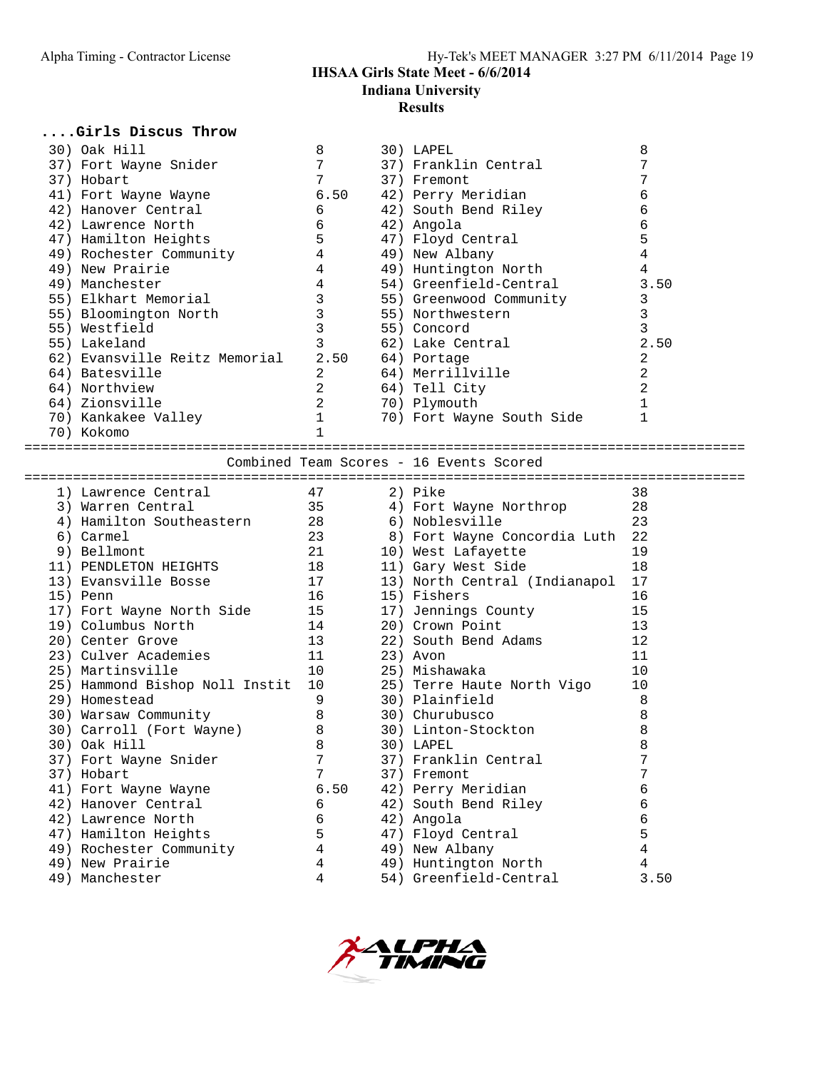| Girls Discus Throw                         |                 |                                         |                |
|--------------------------------------------|-----------------|-----------------------------------------|----------------|
| 30) Oak Hill                               | 8               | 30) LAPEL                               | 8              |
| 37) Fort Wayne Snider                      | 7               | 37) Franklin Central                    | 7              |
| 37) Hobart                                 | $7\overline{ }$ | 37) Fremont                             | 7              |
| 41) Fort Wayne Wayne                       | 6.50            | 42) Perry Meridian                      | 6              |
| 42) Hanover Central                        | 6               | 42) South Bend Riley                    | 6              |
| 42) Lawrence North                         | 6               | 42) Angola                              | 6              |
| 47) Hamilton Heights                       | 5               | 47) Floyd Central                       | 5              |
| 49) Rochester Community                    | 4               | 49) New Albany                          | $\overline{4}$ |
| 49) New Prairie                            | $\overline{4}$  | 49) Huntington North                    | $\overline{4}$ |
| 49) Manchester                             | $\overline{4}$  | 54) Greenfield-Central                  | 3.50           |
| 55) Elkhart Memorial                       | $\mathbf{3}$    | 55) Greenwood Community                 | 3              |
| 55) Bloomington North                      | 3               | 55) Northwestern                        | 3              |
| 55) Westfield                              | 3               | 55) Concord                             | 3              |
| 55) Lakeland                               | 3               | 62) Lake Central                        | 2.50           |
| 62) Evansville Reitz Memorial              | 2.50            | 64) Portage                             | 2              |
| 64) Batesville                             | $\overline{2}$  | 64) Merrillville                        | 2              |
| 64) Northview                              | $\overline{2}$  | 64) Tell City                           | 2              |
| 64) Zionsville                             | 2               | 70) Plymouth                            | $\mathbf{1}$   |
| 70) Kankakee Valley                        | $\mathbf{1}$    | 70) Fort Wayne South Side               | $\mathbf{1}$   |
| 70) Kokomo                                 | $\mathbf{1}$    |                                         |                |
|                                            |                 |                                         |                |
|                                            |                 | Combined Team Scores - 16 Events Scored |                |
|                                            |                 |                                         |                |
|                                            |                 |                                         |                |
| 1) Lawrence Central                        | 47              | 2) Pike                                 | 38             |
| 3) Warren Central                          | 35              | 4) Fort Wayne Northrop                  | 28             |
| 4) Hamilton Southeastern                   | 28              | 6) Noblesville                          | 23             |
| 6) Carmel                                  | 23              | 8) Fort Wayne Concordia Luth 22         |                |
| 9) Bellmont                                | 21              | 10) West Lafayette                      | 19             |
| 11) PENDLETON HEIGHTS                      | 18              | 11) Gary West Side                      | 18             |
| 13) Evansville Bosse                       | 17              | 13) North Central (Indianapol 17        |                |
| 15) Penn                                   | 16 —            | 15) Fishers                             | 16             |
| 17) Fort Wayne North Side                  | 15              | 17) Jennings County                     | 15             |
| 19) Columbus North                         | 14              | 20) Crown Point                         | 13             |
| 20) Center Grove                           | 13              | 22) South Bend Adams                    | 12             |
| 23) Culver Academies                       | 11              | 23) Avon                                | 11             |
| 25) Martinsville                           | 10              | 25) Mishawaka                           | 10             |
| 25) Hammond Bishop Noll Instit 10          |                 | 25) Terre Haute North Vigo              | 10             |
| 29) Homestead                              | 9               | 30) Plainfield                          | 8              |
| 30) Warsaw Community                       | 8               | 30) Churubusco                          | 8              |
| 30) Carroll (Fort Wayne)                   | $\,8\,$         | 30) Linton-Stockton                     | 8              |
| 30) Oak Hill                               | 8               | 30) LAPEL                               | 8              |
| 37) Fort Wayne Snider                      | 7               | 37) Franklin Central                    | 7              |
| 37) Hobart                                 | 7               | 37) Fremont                             | 7              |
| 41) Fort Wayne Wayne                       | 6.50            | 42) Perry Meridian                      | 6              |
| 42) Hanover Central                        | 6               | 42) South Bend Riley                    | 6              |
| 42) Lawrence North<br>47) Hamilton Heights | 6<br>5          | 42) Angola<br>47) Floyd Central         | 6<br>5         |



 49) Rochester Community 4 49) New Albany 4 49) New Prairie 4 49) Huntington North 4 49) Manchester 4 54) Greenfield-Central 3.50